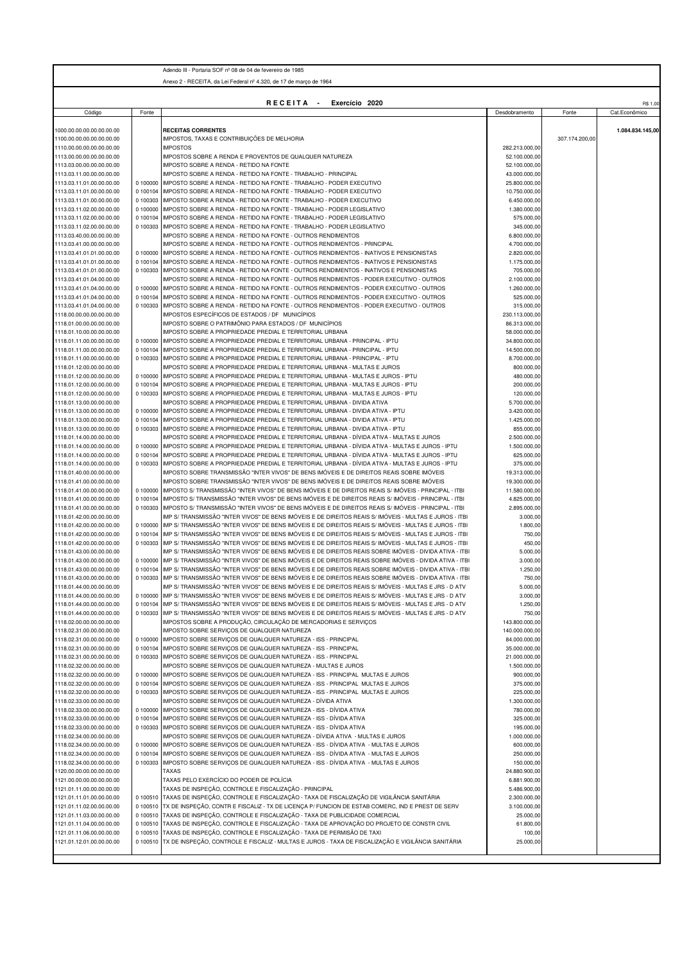|                                                        |                      | Adendo III - Portaria SOF nº 08 de 04 de fevereiro de 1985                                                                                                                                                                |                                |                |                  |
|--------------------------------------------------------|----------------------|---------------------------------------------------------------------------------------------------------------------------------------------------------------------------------------------------------------------------|--------------------------------|----------------|------------------|
|                                                        |                      | Anexo 2 - RECEITA, da Lei Federal nº 4.320, de 17 de marco de 1964                                                                                                                                                        |                                |                |                  |
|                                                        |                      |                                                                                                                                                                                                                           |                                |                |                  |
|                                                        |                      | RECEITA -<br>Exercício 2020                                                                                                                                                                                               |                                |                | R\$ 1,00         |
| Código                                                 | Fonte                |                                                                                                                                                                                                                           | Desdobramento                  | Fonte          | Cat.Econômico    |
| 1000.00.00.00.00.00.00.00                              |                      | <b>RECEITAS CORRENTES</b>                                                                                                                                                                                                 |                                |                | 1.084.834.145.00 |
| 1100.00.00.00.00.00.00.00                              |                      | IMPOSTOS, TAXAS E CONTRIBUIÇÕES DE MELHORIA                                                                                                                                                                               |                                | 307.174.200,00 |                  |
| 1110.00.00.00.00.00.00.00                              |                      | <b>IMPOSTOS</b>                                                                                                                                                                                                           | 282.213.000,00                 |                |                  |
| 1113.00.00.00.00.00.00.00<br>1113.03.00.00.00.00.00.00 |                      | IMPOSTOS SOBRE A RENDA E PROVENTOS DE QUALQUER NATUREZA<br>IMPOSTO SOBRE A RENDA - RETIDO NA FONTE                                                                                                                        | 52.100.000,00<br>52.100.000,00 |                |                  |
| 1113.03.11.00.00.00.00.00                              |                      | IMPOSTO SOBRE A RENDA - RETIDO NA FONTE - TRABALHO - PRINCIPAL                                                                                                                                                            | 43.000.000,00                  |                |                  |
| 1113.03.11.01.00.00.00.00                              | 0 100000             | IMPOSTO SOBRE A RENDA - RETIDO NA FONTE - TRABALHO - PODER EXECUTIVO                                                                                                                                                      | 25.800.000,00                  |                |                  |
| 1113.03.11.01.00.00.00.00<br>1113.03.11.01.00.00.00.00 | 0 100104<br>0 100303 | IMPOSTO SOBRE A RENDA - RETIDO NA FONTE - TRABALHO - PODER EXECUTIVO                                                                                                                                                      | 10.750.000,00<br>6.450.000,00  |                |                  |
| 1113.03.11.02.00.00.00.00                              | 0 100000             | IMPOSTO SOBRE A RENDA - RETIDO NA FONTE - TRABALHO - PODER EXECUTIVO<br>IMPOSTO SOBRE A RENDA - RETIDO NA FONTE - TRABALHO - PODER LEGISLATIVO                                                                            | 1.380.000,00                   |                |                  |
| 1113.03.11.02.00.00.00.00                              | 0 100104             | IMPOSTO SOBRE A RENDA - RETIDO NA FONTE - TRABALHO - PODER LEGISLATIVO                                                                                                                                                    | 575.000,00                     |                |                  |
| 1113.03.11.02.00.00.00.00                              | 0 100303             | IMPOSTO SOBRE A RENDA - RETIDO NA FONTE - TRABALHO - PODER LEGISLATIVO                                                                                                                                                    | 345.000,00                     |                |                  |
| 1113.03.40.00.00.00.00.00                              |                      | IMPOSTO SOBRE A RENDA - RETIDO NA FONTE - OUTROS RENDIMENTOS                                                                                                                                                              | 6.800.000,00                   |                |                  |
| 1113.03.41.00.00.00.00.00                              |                      | IMPOSTO SOBRE A RENDA - RETIDO NA FONTE - OUTROS RENDIMENTOS - PRINCIPAL<br>IMPOSTO SOBRE A RENDA - RETIDO NA FONTE - OUTROS RENDIMENTOS - INATIVOS E PENSIONISTAS                                                        | 4.700.000,00                   |                |                  |
| 1113.03.41.01.01.00.00.00<br>1113.03.41.01.01.00.00.00 | 0 100000<br>0 100104 | IMPOSTO SOBRE A RENDA - RETIDO NA FONTE - OUTROS RENDIMENTOS - INATIVOS E PENSIONISTAS                                                                                                                                    | 2.820.000,00<br>1.175.000,00   |                |                  |
| 1113.03.41.01.01.00.00.00                              | 0 100303             | IMPOSTO SOBRE A RENDA - RETIDO NA FONTE - OUTROS RENDIMENTOS - INATIVOS E PENSIONISTAS                                                                                                                                    | 705.000,00                     |                |                  |
| 1113.03.41.01.04.00.00.00                              |                      | IMPOSTO SOBRE A RENDA - RETIDO NA FONTE - OUTROS RENDIMENTOS - PODER EXECUTIVO - OUTROS                                                                                                                                   | 2.100.000,00                   |                |                  |
| 1113.03.41.01.04.00.00.00                              | 0 100000             | IMPOSTO SOBRE A RENDA - RETIDO NA FONTE - OUTROS RENDIMENTOS - PODER EXECUTIVO - OUTROS                                                                                                                                   | 1.260.000,00                   |                |                  |
| 1113.03.41.01.04.00.00.00                              | 0 100104             | IMPOSTO SOBRE A RENDA - RETIDO NA FONTE - OUTROS RENDIMENTOS - PODER EXECUTIVO - OUTROS<br>IMPOSTO SOBRE A RENDA - RETIDO NA FONTE - OUTROS RENDIMENTOS - PODER EXECUTIVO - OUTROS                                        | 525.000,00                     |                |                  |
| 1113.03.41.01.04.00.00.00<br>1118.00.00.00.00.00.00.00 | 0 100303             | IMPOSTOS ESPECÍFICOS DE ESTADOS / DF MUNICÍPIOS                                                                                                                                                                           | 315.000,00<br>230.113.000,00   |                |                  |
| 1118.01.00.00.00.00.00.00                              |                      | IMPOSTO SOBRE O PATRIMÔNIO PARA ESTADOS / DF MUNICÍPIOS                                                                                                                                                                   | 86.313.000,00                  |                |                  |
| 1118.01.10.00.00.00.00.00                              |                      | IMPOSTO SOBRE A PROPRIEDADE PREDIAL E TERRITORIAL URBANA                                                                                                                                                                  | 58.000.000,00                  |                |                  |
| 1118.01.11.00.00.00.00.00                              | 0 100000             | IMPOSTO SOBRE A PROPRIEDADE PREDIAL E TERRITORIAL URBANA - PRINCIPAL - IPTU                                                                                                                                               | 34.800.000,00                  |                |                  |
| 1118.01.11.00.00.00.00.00                              | 0 100104             | IMPOSTO SOBRE A PROPRIEDADE PREDIAL E TERRITORIAL URBANA - PRINCIPAL - IPTU                                                                                                                                               | 14.500.000,00                  |                |                  |
| 1118.01.11.00.00.00.00.00<br>1118.01.12.00.00.00.00.00 | 0 100303             | IMPOSTO SOBRE A PROPRIEDADE PREDIAL E TERRITORIAL URBANA - PRINCIPAL - IPTU<br>IMPOSTO SOBRE A PROPRIEDADE PREDIAL E TERRITORIAL URBANA - MULTAS E JUROS                                                                  | 8.700.000,00<br>800.000,00     |                |                  |
| 1118.01.12.00.00.00.00.00                              | 0 100000             | IMPOSTO SOBRE A PROPRIEDADE PREDIAL E TERRITORIAL URBANA - MULTAS E JUROS - IPTU                                                                                                                                          | 480.000,00                     |                |                  |
| 1118.01.12.00.00.00.00.00                              | 0 100104             | IMPOSTO SOBRE A PROPRIEDADE PREDIAL E TERRITORIAL URBANA - MULTAS E JUROS - IPTU                                                                                                                                          | 200.000,00                     |                |                  |
| 1118.01.12.00.00.00.00.00                              | 0 100303             | IMPOSTO SOBRE A PROPRIEDADE PREDIAL E TERRITORIAL URBANA - MULTAS E JUROS - IPTU                                                                                                                                          | 120.000,00                     |                |                  |
| 1118.01.13.00.00.00.00.00                              |                      | IMPOSTO SOBRE A PROPRIEDADE PREDIAL E TERRITORIAL URBANA - DIVIDA ATIVA                                                                                                                                                   | 5.700.000,00                   |                |                  |
| 1118.01.13.00.00.00.00.00                              | 0 100000             | IMPOSTO SOBRE A PROPRIEDADE PREDIAL E TERRITORIAL URBANA - DIVIDA ATIVA - IPTU                                                                                                                                            | 3.420.000,00                   |                |                  |
| 1118.01.13.00.00.00.00.00<br>1118.01.13.00.00.00.00.00 | 0 100104<br>0 100303 | IMPOSTO SOBRE A PROPRIEDADE PREDIAL E TERRITORIAL URBANA - DIVIDA ATIVA - IPTU<br>IMPOSTO SOBRE A PROPRIEDADE PREDIAL E TERRITORIAL URBANA - DIVIDA ATIVA - IPTU                                                          | 1.425.000,00<br>855.000,00     |                |                  |
| 1118.01.14.00.00.00.00.00                              |                      | IMPOSTO SOBRE A PROPRIEDADE PREDIAL E TERRITORIAL URBANA - DÍVIDA ATIVA - MULTAS E JUROS                                                                                                                                  | 2.500.000,00                   |                |                  |
| 1118.01.14.00.00.00.00.00                              |                      | 0 100000 IMPOSTO SOBRE A PROPRIEDADE PREDIAL E TERRITORIAL URBANA - DÍVIDA ATIVA - MULTAS E JUROS - IPTU                                                                                                                  | 1.500.000,00                   |                |                  |
| 1118.01.14.00.00.00.00.00                              | 0 100104             | IMPOSTO SOBRE A PROPRIEDADE PREDIAL E TERRITORIAL URBANA - DÍVIDA ATIVA - MULTAS E JUROS - IPTU                                                                                                                           | 625.000,00                     |                |                  |
| 1118.01.14.00.00.00.00.00                              | 0 100303             | IMPOSTO SOBRE A PROPRIEDADE PREDIAL E TERRITORIAL URBANA - DÍVIDA ATIVA - MULTAS E JUROS - IPTU                                                                                                                           | 375.000,00                     |                |                  |
| 1118.01.40.00.00.00.00.00<br>1118.01.41.00.00.00.00.00 |                      | IMPOSTO SOBRE TRANSMISSÃO "INTER VIVOS" DE BENS IMÓVEIS E DE DIREITOS REAIS SOBRE IMÓVEIS<br>IMPOSTO SOBRE TRANSMISSÃO "INTER VIVOS" DE BENS IMÓVEIS E DE DIREITOS REAIS SOBRE IMÓVEIS                                    | 19.313.000,00<br>19.300.000,00 |                |                  |
| 1118.01.41.00.00.00.00.00                              | 0 100000             | IMPOSTO S/ TRANSMISSÃO "INTER VIVOS" DE BENS IMÓVEIS E DE DIREITOS REAIS S/ IMÓVEIS - PRINCIPAL - ITBI                                                                                                                    | 11.580.000,00                  |                |                  |
| 1118.01.41.00.00.00.00.00                              | 0 100104             | IMPOSTO S/ TRANSMISSÃO "INTER VIVOS" DE BENS IMÓVEIS E DE DIREITOS REAIS S/ IMÓVEIS - PRINCIPAL - ITBI                                                                                                                    | 4.825.000,00                   |                |                  |
| 1118.01.41.00.00.00.00.00                              | 0 100303             | IMPOSTO S/ TRANSMISSÃO "INTER VIVOS" DE BENS IMÓVEIS E DE DIREITOS REAIS S/ IMÓVEIS - PRINCIPAL - ITBI                                                                                                                    | 2.895.000,00                   |                |                  |
| 1118.01.42.00.00.00.00.00                              |                      | IMP S/ TRANSMISSÃO "INTER VIVOS" DE BENS IMÓVEIS E DE DIREITOS REAIS S/ IMÓVEIS - MULTAS E JUROS - ITBI                                                                                                                   | 3.000,00                       |                |                  |
| 1118.01.42.00.00.00.00.00<br>1118.01.42.00.00.00.00.00 | 0 100000<br>0 100104 | IMP S/ TRANSMISSÃO "INTER VIVOS" DE BENS IMÓVEIS E DE DIREITOS REAIS S/ IMÓVEIS - MULTAS E JUROS - ITBI<br>IMP S/ TRANSMISSÃO "INTER VIVOS" DE BENS IMÓVEIS E DE DIREITOS REAIS S/ IMÓVEIS - MULTAS E JUROS - ITBI        | 1.800,00<br>750,00             |                |                  |
| 1118.01.42.00.00.00.00.00                              | 0 100303             | IMP S/ TRANSMISSÃO "INTER VIVOS" DE BENS IMÓVEIS E DE DIREITOS REAIS S/ IMÓVEIS - MULTAS E JUROS - ITBI                                                                                                                   | 450,00                         |                |                  |
| 1118.01.43.00.00.00.00.00                              |                      | IMP S/ TRANSMISSÃO "INTER VIVOS" DE BENS IMÓVEIS E DE DIREITOS REAIS SOBRE IMÓVEIS - DIVIDA ATIVA - ITBI                                                                                                                  | 5.000,00                       |                |                  |
| 1118.01.43.00.00.00.00.00                              | 0 100000             | IMP S/ TRANSMISSÃO "INTER VIVOS" DE BENS IMÓVEIS E DE DIREITOS REAIS SOBRE IMÓVEIS - DIVIDA ATIVA - ITBI                                                                                                                  | 3.000,00                       |                |                  |
| 1118.01.43.00.00.00.00.00                              |                      | 0 100104 IIMP S/ TRANSMISSÃO "INTER VIVOS" DE BENS IMÓVEIS E DE DIREITOS REAIS SOBRE IMÓVEIS - DIVIDA ATIVA - ITBI                                                                                                        | 1.250,00                       |                |                  |
| 1118.01.43.00.00.00.00.00                              | 0 100303             | IMP S/ TRANSMISSÃO "INTER VIVOS" DE BENS IMÓVEIS E DE DIREITOS REAIS SOBRE IMÓVEIS - DIVIDA ATIVA - ITBI                                                                                                                  | 750,00                         |                |                  |
| 1118.01.44.00.00.00.00.00<br>1118.01.44.00.00.00.00.00 |                      | IMP S/ TRANSMISSÃO "INTER VIVOS" DE BENS IMÓVEIS E DE DIREITOS REAIS S/ IMÓVEIS - MULTAS E JRS - D ATV<br>0 100000 IMP S/ TRANSMISSÃO "INTER VIVOS" DE BENS IMÓVEIS E DE DIREITOS REAIS S/ IMÓVEIS - MULTAS E JRS - D ATV | 5.000,00<br>3.000,00           |                |                  |
| 1118.01.44.00.00.00.00.00                              |                      | 0 100104 IMP S/ TRANSMISSÃO "INTER VIVOS" DE BENS IMÓVEIS E DE DIREITOS REAIS S/ IMÓVEIS - MULTAS E JRS - D ATV                                                                                                           | 1.250,00                       |                |                  |
| 1118.01.44.00.00.00.00.00                              | 0 100303             | IMP S/ TRANSMISSÃO "INTER VIVOS" DE BENS IMÓVEIS E DE DIREITOS REAIS S/ IMÓVEIS - MULTAS E JRS - D ATV                                                                                                                    | 750,00                         |                |                  |
| 1118.02.00.00.00.00.00.00                              |                      | IMPOSTOS SOBRE A PRODUÇÃO, CIRCULAÇÃO DE MERCADORIAS E SERVIÇOS                                                                                                                                                           | 143.800.000,00                 |                |                  |
| 1118.02.31.00.00.00.00.00                              |                      | IMPOSTO SOBRE SERVIÇOS DE QUALQUER NATUREZA                                                                                                                                                                               | 140.000.000,00                 |                |                  |
| 1118.02.31.00.00.00.00.00<br>1118.02.31.00.00.00.00.00 |                      | 0 100000 IMPOSTO SOBRE SERVIÇOS DE QUALQUER NATUREZA - ISS - PRINCIPAL<br>0 100104 IMPOSTO SOBRE SERVIÇOS DE QUALQUER NATUREZA - ISS - PRINCIPAL                                                                          | 84.000.000,00<br>35.000.000,00 |                |                  |
| 1118.02.31.00.00.00.00.00                              |                      | 0 100303 IMPOSTO SOBRE SERVIÇOS DE QUALQUER NATUREZA - ISS - PRINCIPAL                                                                                                                                                    | 21.000.000,00                  |                |                  |
| 1118.02.32.00.00.00.00.00                              |                      | IMPOSTO SOBRE SERVIÇOS DE QUALQUER NATUREZA - MULTAS E JUROS                                                                                                                                                              | 1.500.000,00                   |                |                  |
| 1118.02.32.00.00.00.00.00                              | 0 100000             | IMPOSTO SOBRE SERVICOS DE QUALQUER NATUREZA - ISS - PRINCIPAL MULTAS E JUROS                                                                                                                                              | 900.000,00                     |                |                  |
| 1118.02.32.00.00.00.00.00<br>1118.02.32.00.00.00.00.00 | 0 100104<br>0 100303 | IMPOSTO SOBRE SERVIÇOS DE QUALQUER NATUREZA - ISS - PRINCIPAL MULTAS E JUROS<br>IMPOSTO SOBRE SERVICOS DE QUALQUER NATUREZA - ISS - PRINCIPAL MULTAS E JUROS                                                              | 375.000,00                     |                |                  |
| 1118.02.33.00.00.00.00.00                              |                      | IMPOSTO SOBRE SERVIÇOS DE QUALQUER NATUREZA - DÍVIDA ATIVA                                                                                                                                                                | 225.000,00<br>1.300.000,00     |                |                  |
| 1118.02.33.00.00.00.00.00                              | 0 100000             | IMPOSTO SOBRE SERVIÇOS DE QUALQUER NATUREZA - ISS - DÍVIDA ATIVA                                                                                                                                                          | 780.000,00                     |                |                  |
| 1118.02.33.00.00.00.00.00                              | 0 100104             | IMPOSTO SOBRE SERVIÇOS DE QUALQUER NATUREZA - ISS - DÍVIDA ATIVA                                                                                                                                                          | 325.000,00                     |                |                  |
| 1118.02.33.00.00.00.00.00                              | 0 100303             | IMPOSTO SOBRE SERVIÇOS DE QUALQUER NATUREZA - ISS - DÍVIDA ATIVA                                                                                                                                                          | 195.000,00                     |                |                  |
| 1118.02.34.00.00.00.00.00                              |                      | IMPOSTO SOBRE SERVIÇOS DE QUALQUER NATUREZA - DÍVIDA ATIVA  - MULTAS E JUROS<br>IMPOSTO SOBRE SERVIÇOS DE QUALQUER NATUREZA - ISS - DÍVIDA ATIVA - MULTAS E JUROS                                                         | 1.000.000,00                   |                |                  |
| 1118.02.34.00.00.00.00.00<br>1118.02.34.00.00.00.00.00 | 0 100000<br>0 100104 | IMPOSTO SOBRE SERVIÇOS DE QUALQUER NATUREZA - ISS - DÍVIDA ATIVA - MULTAS E JUROS                                                                                                                                         | 600.000,00<br>250.000,00       |                |                  |
| 1118.02.34.00.00.00.00.00                              | 0 100303             | IMPOSTO SOBRE SERVIÇOS DE QUALQUER NATUREZA - ISS - DÍVIDA ATIVA - MULTAS E JUROS                                                                                                                                         | 150.000,00                     |                |                  |
| 1120.00.00.00.00.00.00.00                              |                      | TAXAS                                                                                                                                                                                                                     | 24.880.900,00                  |                |                  |
| 1121.00.00.00.00.00.00.00                              |                      | TAXAS PELO EXERCÍCIO DO PODER DE POLÍCIA                                                                                                                                                                                  | 6.881.900,00                   |                |                  |
| 1121.01.11.00.00.00.00.00                              |                      | TAXAS DE INSPEÇÃO, CONTROLE E FISCALIZAÇÃO - PRINCIPAL<br>0 100510 TAXAS DE INSPEÇÃO, CONTROLE E FISCALIZAÇÃO - TAXA DE FISCALIZAÇÃO DE VIGILÂNCIA SANITÁRIA                                                              | 5.486.900,00                   |                |                  |
| 1121.01.11.01.00.00.00.00<br>1121.01.11.02.00.00.00.00 |                      | 0 100510 TX DE INSPEÇÃO, CONTR E FISCALIZ - TX DE LICENÇA P/ FUNCION DE ESTAB COMERC, IND E PREST DE SERV                                                                                                                 | 2.300.000,00<br>3.100.000,00   |                |                  |
| 1121.01.11.03.00.00.00.00                              |                      | 0 100510 TAXAS DE INSPEÇÃO, CONTROLE E FISCALIZAÇÃO - TAXA DE PUBLICIDADE COMERCIAL                                                                                                                                       | 25.000,00                      |                |                  |
| 1121.01.11.04.00.00.00.00                              | 0 100510             | TAXAS DE INSPEÇÃO, CONTROLE E FISCALIZAÇÃO - TAXA DE APROVAÇÃO DO PROJETO DE CONSTR CIVIL                                                                                                                                 | 61.800,00                      |                |                  |
| 1121.01.11.06.00.00.00.00                              | 0 100510             | TAXAS DE INSPEÇÃO, CONTROLE E FISCALIZAÇÃO - TAXA DE PERMISÃO DE TAXI                                                                                                                                                     | 100,00                         |                |                  |
| 1121.01.12.01.00.00.00.00                              | 0 100510             | TX DE INSPEÇÃO, CONTROLE E FISCALIZ - MULTAS E JUROS - TAXA DE FISCALIZAÇÃO E VIGILÂNCIA SANITÁRIA                                                                                                                        | 25.000,00                      |                |                  |
|                                                        |                      |                                                                                                                                                                                                                           |                                |                |                  |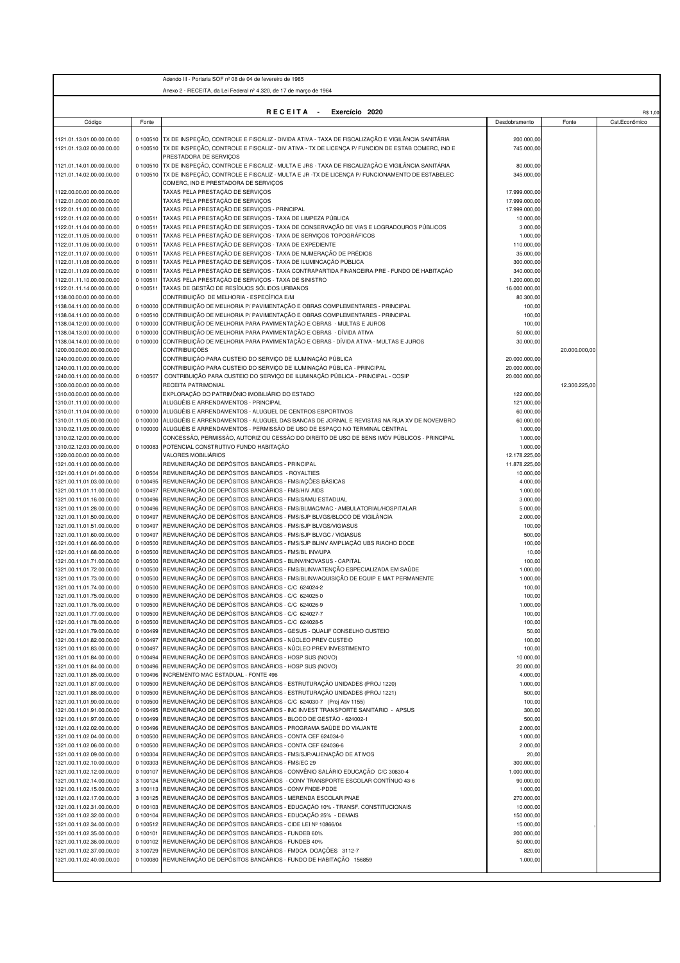|                                                        |                      | Adendo III - Portaria SOF nº 08 de 04 de fevereiro de 1985                                                                                                                     |                                |                        |
|--------------------------------------------------------|----------------------|--------------------------------------------------------------------------------------------------------------------------------------------------------------------------------|--------------------------------|------------------------|
|                                                        |                      | Anexo 2 - RECEITA, da Lei Federal nº 4.320, de 17 de março de 1964                                                                                                             |                                |                        |
|                                                        |                      |                                                                                                                                                                                |                                |                        |
|                                                        |                      | RECEITA -<br>Exercício 2020                                                                                                                                                    |                                | R\$ 1,00               |
| Código                                                 | Fonte                |                                                                                                                                                                                | Desdobramento                  | Fonte<br>Cat.Econômico |
| 1121.01.13.01.00.00.00.00                              |                      | 0 100510 TX DE INSPEÇÃO, CONTROLE E FISCALIZ - DIVIDA ATIVA - TAXA DE FISCALIZAÇÃO E VIGILÂNCIA SANITÁRIA                                                                      | 200.000,00                     |                        |
| 121.01.13.02.00.00.00.00                               |                      | 0 100510 TX DE INSPEÇÃO, CONTROLE E FISCALIZ - DIV ATIVA - TX DE LICENÇA P/ FUNCION DE ESTAB COMERC, IND E                                                                     | 745.000,00                     |                        |
| 1121.01.14.01.00.00.00.00                              |                      | PRESTADORA DE SERVIÇOS<br>0 100510 TX DE INSPEÇÃO, CONTROLE E FISCALIZ - MULTA E JRS - TAXA DE FISCALIZAÇÃO E VIGILÂNCIA SANITÁRIA                                             | 80.000,00                      |                        |
| 1121.01.14.02.00.00.00.00                              |                      | 0 100510 TX DE INSPEÇÃO, CONTROLE E FISCALIZ - MULTA E JR -TX DE LICENÇA P/ FUNCIONAMENTO DE ESTABELEC                                                                         | 345.000,00                     |                        |
|                                                        |                      | COMERC, IND E PRESTADORA DE SERVIÇOS                                                                                                                                           |                                |                        |
| 1122.00.00.00.00.00.00.00                              |                      | TAXAS PELA PRESTAÇÃO DE SERVIÇOS                                                                                                                                               | 17.999.000,00                  |                        |
| 1122.01.00.00.00.00.00.00<br>1122.01.11.00.00.00.00.00 |                      | TAXAS PELA PRESTAÇÃO DE SERVIÇOS<br>TAXAS PELA PRESTAÇÃO DE SERVIÇOS - PRINCIPAL                                                                                               | 17.999.000,00<br>17.999.000,00 |                        |
| 1122.01.11.02.00.00.00.00                              | 0 100511             | TAXAS PELA PRESTAÇÃO DE SERVIÇOS - TAXA DE LIMPEZA PÚBLICA                                                                                                                     | 10.000,00                      |                        |
| 1122.01.11.04.00.00.00.00                              | 0 100511             | TAXAS PELA PRESTAÇÃO DE SERVIÇOS - TAXA DE CONSERVAÇÃO DE VIAS E LOGRADOUROS PÚBLICOS                                                                                          | 3.000,00                       |                        |
| 1122.01.11.05.00.00.00.00                              | 0 100511             | TAXAS PELA PRESTAÇÃO DE SERVIÇOS - TAXA DE SERVIÇOS TOPOGRÁFICOS                                                                                                               | 1.000,00                       |                        |
| 1122.01.11.06.00.00.00.00                              | 0 100511             | TAXAS PELA PRESTAÇÃO DE SERVIÇOS - TAXA DE EXPEDIENTE                                                                                                                          | 110.000,00                     |                        |
| 1122.01.11.07.00.00.00.00<br>1122.01.11.08.00.00.00.00 | 0 100511<br>0 100511 | TAXAS PELA PRESTAÇÃO DE SERVIÇOS - TAXA DE NUMERAÇÃO DE PRÉDIOS<br>TAXAS PELA PRESTAÇÃO DE SERVIÇOS - TAXA DE ILUMINCAÇÃO PÚBLICA                                              | 35.000,00<br>300.000,00        |                        |
| 1122.01.11.09.00.00.00.00                              | 0 100511             | TAXAS PELA PRESTAÇÃO DE SERVIÇOS - TAXA CONTRAPARTIDA FINANCEIRA PRE - FUNDO DE HABITAÇÃO                                                                                      | 340.000,00                     |                        |
| 1122.01.11.10.00.00.00.00                              | 0 100511             | TAXAS PELA PRESTAÇÃO DE SERVIÇOS - TAXA DE SINISTRO                                                                                                                            | 1.200.000,00                   |                        |
| 1122.01.11.14.00.00.00.00                              | 0 100511             | TAXAS DE GESTÃO DE RESÍDUOS SÓLIDOS URBANOS                                                                                                                                    | 16.000.000,00                  |                        |
| 1138.00.00.00.00.00.00.00                              |                      | CONTRIBUIÇÃO DE MELHORIA - ESPECÍFICA E/M                                                                                                                                      | 80.300,00                      |                        |
| 1138.04.11.00.00.00.00.00<br>1138.04.11.00.00.00.00.00 | 0 100000<br>0 100510 | CONTRIBUIÇÃO DE MELHORIA P/ PAVIMENTAÇÃO E OBRAS COMPLEMENTARES - PRINCIPAL<br>CONTRIBUIÇÃO DE MELHORIA P/ PAVIMENTAÇÃO E OBRAS COMPLEMENTARES - PRINCIPAL                     | 100,00                         |                        |
| 1138.04.12.00.00.00.00.00                              | 0 100000             | CONTRIBUIÇÃO DE MELHORIA PARA PAVIMENTAÇÃO E OBRAS - MULTAS E JUROS                                                                                                            | 100,00<br>100,00               |                        |
| 1138.04.13.00.00.00.00.00                              | 0 100000             | CONTRIBUIÇÃO DE MELHORIA PARA PAVIMENTAÇÃO E OBRAS - DÍVIDA ATIVA                                                                                                              | 50.000,00                      |                        |
| 1138.04.14.00.00.00.00.00                              | 0 100000             | CONTRIBUIÇÃO DE MELHORIA PARA PAVIMENTAÇÃO E OBRAS - DÍVIDA ATIVA - MULTAS E JUROS                                                                                             | 30.000,00                      |                        |
| 1200.00.00.00.00.00.00.00                              |                      | <b>CONTRIBUIÇÕES</b>                                                                                                                                                           |                                | 20.000.000.00          |
| 1240.00.00.00.00.00.00.00<br>1240.00.11.00.00.00.00.00 |                      | CONTRIBUIÇÃO PARA CUSTEIO DO SERVIÇO DE ILUMINAÇÃO PÚBLICA<br>CONTRIBUIÇÃO PARA CUSTEIO DO SERVIÇO DE ILUMINAÇÃO PÚBLICA - PRINCIPAL                                           | 20.000.000,00<br>20.000.000,00 |                        |
| 1240.00.11.00.00.00.00.00                              | 0 100507             | CONTRIBUIÇÃO PARA CUSTEIO DO SERVIÇO DE ILUMINAÇÃO PÚBLICA - PRINCIPAL - COSIP                                                                                                 | 20.000.000,00                  |                        |
| 1300.00.00.00.00.00.00.00                              |                      | RECEITA PATRIMONIAL                                                                                                                                                            |                                | 12.300.225,00          |
| 1310.00.00.00.00.00.00.00                              |                      | EXPLORAÇÃO DO PATRIMÔNIO IMOBILIÁRIO DO ESTADO                                                                                                                                 | 122.000,00                     |                        |
| 1310.01.11.00.00.00.00.00                              |                      | ALUGUÉIS E ARRENDAMENTOS - PRINCIPAL                                                                                                                                           | 121.000,00                     |                        |
| 1310.01.11.04.00.00.00.00                              | 0 100000             | ALUGUÉIS E ARRENDAMENTOS - ALUGUEL DE CENTROS ESPORTIVOS                                                                                                                       | 60.000,00                      |                        |
| 1310.01.11.05.00.00.00.00<br>1310.02.11.05.00.00.00.00 | 0 100000             | 0 100000 ALUGUÉIS E ARRENDAMENTOS - ALUGUEL DAS BANCAS DE JORNAL E REVISTAS NA RUA XV DE NOVEMBRO<br>ALUGUÉIS E ARRENDAMENTOS - PERMISSÃO DE USO DE ESPAÇO NO TERMINAL CENTRAL | 60.000,00<br>1.000,00          |                        |
| 1310.02.12.00.00.00.00.00                              |                      | CONCESSÃO, PERMISSÃO, AUTORIZ OU CESSÃO DO DIREITO DE USO DE BENS IMÓV PÚBLICOS - PRINCIPAL                                                                                    | 1.000,00                       |                        |
| 1310.02.12.03.00.00.00.00                              |                      | 0 100083 POTENCIAL CONSTRUTIVO FUNDO HABITAÇÃO                                                                                                                                 | 1.000,00                       |                        |
| 1320.00.00.00.00.00.00.00                              |                      | VALORES MOBILIÁRIOS                                                                                                                                                            | 12.178.225,00                  |                        |
| 1321.00.11.00.00.00.00.00                              |                      | REMUNERAÇÃO DE DEPÓSITOS BANCÁRIOS - PRINCIPAL                                                                                                                                 | 11.878.225,00                  |                        |
| 1321.00.11.01.01.00.00.00<br>1321.00.11.01.03.00.00.00 | 0 100504<br>0 100495 | REMUNERAÇÃO DE DEPÓSITOS BANCÁRIOS - ROYALTIES<br>REMUNERAÇÃO DE DEPÓSITOS BANCÁRIOS - FMS/AÇÕES BÁSICAS                                                                       | 10.000,00<br>4.000,00          |                        |
| 1321.00.11.01.11.00.00.00                              | 0 100497             | REMUNERAÇÃO DE DEPÓSITOS BANCÁRIOS - FMS/HIV AIDS                                                                                                                              | 1.000,00                       |                        |
| 1321.00.11.01.16.00.00.00                              | 0 100496             | REMUNERAÇÃO DE DEPÓSITOS BANCÁRIOS - FMS/SAMU ESTADUAL                                                                                                                         | 3.000,00                       |                        |
| 1321.00.11.01.28.00.00.00                              | 0 100496             | REMUNERAÇÃO DE DEPÓSITOS BANCÁRIOS - FMS/BLMAC/MAC - AMBULATORIAL/HOSPITALAR                                                                                                   | 5.000,00                       |                        |
| 1321.00.11.01.50.00.00.00                              | 0 100497             | REMUNERAÇÃO DE DEPÓSITOS BANCÁRIOS - FMS/SJP BLVGS/BLOCO DE VIGILÂNCIA                                                                                                         | 2.000,00                       |                        |
| 1321.00.11.01.51.00.00.00<br>1321.00.11.01.60.00.00.00 | 0 100497<br>0 100497 | REMUNERAÇÃO DE DEPÓSITOS BANCÁRIOS - FMS/SJP BLVGS/VIGIASUS<br>REMUNERAÇÃO DE DEPÓSITOS BANCÁRIOS - FMS/SJP BLVGC / VIGIASUS                                                   | 100,00<br>500,00               |                        |
| 1321.00.11.01.66.00.00.00                              | 0 100500             | REMUNERAÇÃO DE DEPÓSITOS BANCÁRIOS - FMS/SJP BLINV AMPLIAÇÃO UBS RIACHO DOCE                                                                                                   | 100,00                         |                        |
| 1321.00.11.01.68.00.00.00                              | 0 100500             | REMUNERAÇÃO DE DEPÓSITOS BANCÁRIOS - FMS/BL INV/UPA                                                                                                                            | 10,00                          |                        |
| 1321.00.11.01.71.00.00.00                              | 0 100500             | REMUNERAÇÃO DE DEPÓSITOS BANCÁRIOS - BLINV/INOVASUS - CAPITAL                                                                                                                  | 100,00                         |                        |
| 1321.00.11.01.72.00.00.00<br>1321.00.11.01.73.00.00.00 | 0 100500<br>0 100500 | REMUNERAÇÃO DE DEPÓSITOS BANCÁRIOS - FMS/BLINV/ATENÇÃO ESPECIALIZADA EM SAÚDE<br>REMUNERAÇÃO DE DEPÓSITOS BANCÁRIOS - FMS/BLINV/AQUISIÇÃO DE EQUIP E MAT PERMANENTE            | 1.000,00<br>1.000,00           |                        |
| 321.00.11.01.74.00.00.00                               |                      | 0 100500 REMUNERAÇÃO DE DEPOSITOS BANCARIOS - C/C 624024-2                                                                                                                     | 100.0                          |                        |
| 1321.00.11.01.75.00.00.00                              |                      | 0 100500 REMUNERAÇÃO DE DEPÓSITOS BANCÁRIOS - C/C 624025-0                                                                                                                     | 100,00                         |                        |
| 1321.00.11.01.76.00.00.00                              | 0 100500             | REMUNERAÇÃO DE DEPÓSITOS BANCÁRIOS - C/C 624026-9                                                                                                                              | 1.000,00                       |                        |
| 1321.00.11.01.77.00.00.00                              | 0 100500             | REMUNERAÇÃO DE DEPÓSITOS BANCÁRIOS - C/C 624027-7                                                                                                                              | 100,00                         |                        |
| 1321.00.11.01.78.00.00.00<br>1321.00.11.01.79.00.00.00 | 0 100500<br>0 100499 | REMUNERAÇÃO DE DEPÓSITOS BANCÁRIOS - C/C 624028-5<br>REMUNERAÇÃO DE DEPÓSITOS BANCÁRIOS - GESUS - QUALIF CONSELHO CUSTEIO                                                      | 100,00<br>50,00                |                        |
| 1321.00.11.01.82.00.00.00                              | 0 100497             | REMUNERAÇÃO DE DEPÓSITOS BANCÁRIOS - NÚCLEO PREV CUSTEIO                                                                                                                       | 100,00                         |                        |
| 1321.00.11.01.83.00.00.00                              | 0 100497             | REMUNERAÇÃO DE DEPÓSITOS BANCÁRIOS - NÚCLEO PREV INVESTIMENTO                                                                                                                  | 100,00                         |                        |
| 1321.00.11.01.84.00.00.00                              | 0 100494             | REMUNERAÇÃO DE DEPÓSITOS BANCÁRIOS - HOSP SUS (NOVO)                                                                                                                           | 10.000,00                      |                        |
| 1321.00.11.01.84.00.00.00                              | 0 100496             | REMUNERAÇÃO DE DEPÓSITOS BANCÁRIOS - HOSP SUS (NOVO)                                                                                                                           | 20.000,00                      |                        |
| 1321.00.11.01.85.00.00.00<br>1321.00.11.01.87.00.00.00 | 0 100496<br>0 100500 | INCREMENTO MAC ESTADUAL - FONTE 496<br>REMUNERAÇÃO DE DEPÓSITOS BANCÁRIOS - ESTRUTURAÇÃO UNIDADES (PROJ 1220)                                                                  | 4.000,00<br>1.000,00           |                        |
| 1321.00.11.01.88.00.00.00                              | 0 100500             | REMUNERAÇÃO DE DEPÓSITOS BANCÁRIOS - ESTRUTURAÇÃO UNIDADES (PROJ 1221)                                                                                                         | 500,00                         |                        |
| 1321.00.11.01.90.00.00.00                              | 0 100500             | REMUNERAÇÃO DE DEPÓSITOS BANCÁRIOS - C/C 624030-7 (Proj Ativ 1155)                                                                                                             | 100,00                         |                        |
| 1321.00.11.01.91.00.00.00                              | 0 100495             | REMUNERAÇÃO DE DEPÓSITOS BANCÁRIOS - INC INVEST TRANSPORTE SANITÁRIO - APSUS                                                                                                   | 300,00                         |                        |
| 1321.00.11.01.97.00.00.00                              | 0 100499             | REMUNERAÇÃO DE DEPÓSITOS BANCÁRIOS - BLOCO DE GESTÃO - 624002-1                                                                                                                | 500,00                         |                        |
| 1321.00.11.02.02.00.00.00<br>1321.00.11.02.04.00.00.00 | 0 100496<br>0 100500 | REMUNERAÇÃO DE DEPÓSITOS BANCÁRIOS - PROGRAMA SAÚDE DO VIAJANTE<br>REMUNERAÇÃO DE DEPÓSITOS BANCÁRIOS - CONTA CEF 624034-0                                                     | 2.000,00<br>1.000,00           |                        |
| 1321.00.11.02.06.00.00.00                              | 0 100500             | REMUNERAÇÃO DE DEPÓSITOS BANCÁRIOS - CONTA CEF 624036-6                                                                                                                        | 2.000,00                       |                        |
| 1321.00.11.02.09.00.00.00                              | 0 100304             | REMUNERAÇÃO DE DEPÓSITOS BANCÁRIOS - FMS/SJP/ALIENAÇÃO DE ATIVOS                                                                                                               | 20,00                          |                        |
| 1321.00.11.02.10.00.00.00                              | 0 100303             | REMUNERAÇÃO DE DEPÓSITOS BANCÁRIOS - FMS/EC 29                                                                                                                                 | 300.000,00                     |                        |
| 1321.00.11.02.12.00.00.00                              | 0 100107             | REMUNERAÇÃO DE DEPÓSITOS BANCÁRIOS - CONVÊNIO SALÁRIO EDUCAÇÃO C/C 30630-4                                                                                                     | 1.000.000,00                   |                        |
| 1321.00.11.02.14.00.00.00<br>1321.00.11.02.15.00.00.00 | 3 100124<br>3 100113 | REMUNERAÇÃO DE DEPÓSITOS BANCÁRIOS - CONV TRANSPORTE ESCOLAR CONTÍNUO 43-6<br>REMUNERAÇÃO DE DEPÓSITOS BANCÁRIOS - CONV FNDE-PDDE                                              | 90.000,00                      |                        |
| 1321.00.11.02.17.00.00.00                              |                      | 3 100125 REMUNERAÇÃO DE DEPÓSITOS BANCÁRIOS - MERENDA ESCOLAR PNAE                                                                                                             | 1.000,00<br>270.000,00         |                        |
| 1321.00.11.02.31.00.00.00                              | 0 100103             | REMUNERAÇÃO DE DEPÓSITOS BANCÁRIOS - EDUCAÇÃO 10% - TRANSF. CONSTITUCIONAIS                                                                                                    | 10.000,00                      |                        |
| 1321.00.11.02.32.00.00.00                              | 0 100104             | REMUNERAÇÃO DE DEPÓSITOS BANCÁRIOS - EDUCAÇÃO 25% - DEMAIS                                                                                                                     | 150.000,00                     |                        |
| 1321.00.11.02.34.00.00.00                              | 0 100512             | REMUNERAÇÃO DE DEPÓSITOS BANCÁRIOS - CIDE LEI Nº 10866/04                                                                                                                      | 15.000,00                      |                        |
| 1321.00.11.02.35.00.00.00                              | 0 100101<br>0 100102 | REMUNERAÇÃO DE DEPÓSITOS BANCÁRIOS - FUNDEB 60%<br>REMUNERAÇÃO DE DEPÓSITOS BANCÁRIOS - FUNDEB 40%                                                                             | 200.000,00                     |                        |
| 1321.00.11.02.36.00.00.00<br>1321.00.11.02.37.00.00.00 | 3 100729             | REMUNERAÇÃO DE DEPÓSITOS BANCÁRIOS - FMDCA DOAÇÕES 3112-7                                                                                                                      | 50.000,00<br>820,00            |                        |
| 1321.00.11.02.40.00.00.00                              | 0 100080             | REMUNERAÇÃO DE DEPÓSITOS BANCÁRIOS - FUNDO DE HABITAÇÃO 156859                                                                                                                 | 1.000,00                       |                        |
|                                                        |                      |                                                                                                                                                                                |                                |                        |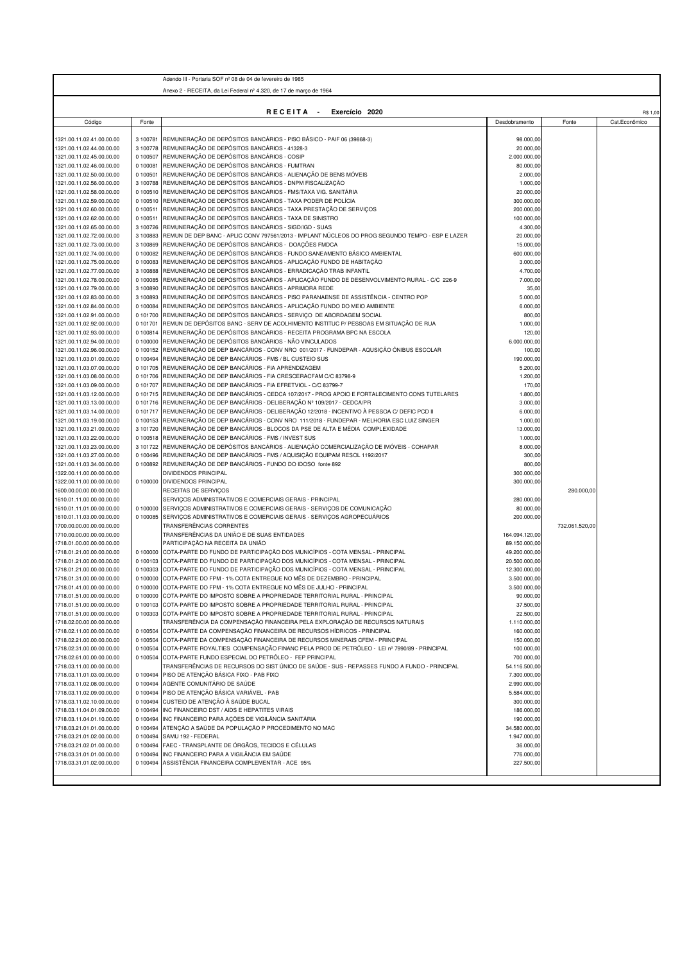| Anexo 2 - RECEITA, da Lei Federal nº 4.320, de 17 de marco de 1964<br>RECEITA -<br>Exercício 2020<br>R\$ 1,00<br>Código<br>Fonte<br>Desdobramento<br>Fonte<br>Cat.Econômico<br>REMUNERAÇÃO DE DEPÓSITOS BANCÁRIOS - PISO BÁSICO - PAIF 06 (39868-3)<br>1321.00.11.02.41.00.00.00<br>3 100781<br>98.000,00<br>REMUNERAÇÃO DE DEPÓSITOS BANCÁRIOS - 41328-3<br>3 100778<br>20.000,00<br>REMUNERAÇÃO DE DEPÓSITOS BANCÁRIOS - COSIP<br>1321.00.11.02.45.00.00.00<br>0 100507<br>2.000.000,00<br>1321.00.11.02.46.00.00.00<br>0 100081<br>REMUNERAÇÃO DE DEPÓSITOS BANCÁRIOS - FUMTRAN<br>80.000,00<br>REMUNERAÇÃO DE DEPÓSITOS BANCÁRIOS - ALIENAÇÃO DE BENS MÓVEIS<br>1321.00.11.02.50.00.00.00<br>0 100501<br>2.000,00<br>REMUNERAÇÃO DE DEPÓSITOS BANCÁRIOS - DNPM FISCALIZAÇÃO<br>3 100788<br>1.000,00<br>REMUNERAÇÃO DE DEPÓSITOS BANCÁRIOS - FMS/TAXA VIG. SANITÁRIA<br>0 100510<br>20.000,00<br>REMUNERAÇÃO DE DEPÓSITOS BANCÁRIOS - TAXA PODER DE POLÍCIA<br>0 100510<br>300.000,00<br>REMUNERAÇÃO DE DEPÓSITOS BANCÁRIOS - TAXA PRESTAÇÃO DE SERVIÇOS<br>0 100511<br>1321.00.11.02.60.00.00.00<br>200.000,00<br>REMUNERAÇÃO DE DEPÓSITOS BANCÁRIOS - TAXA DE SINISTRO<br>0 100511<br>1321.00.11.02.62.00.00.00<br>100.000,00<br>REMUNERAÇÃO DE DEPÓSITOS BANCÁRIOS - SIGD/IGD - SUAS<br>3 100726<br>4.300,00<br>3 100883<br>REMUN DE DEP BANC - APLIC CONV 797561/2013 - IMPLANT NÚCLEOS DO PROG SEGUNDO TEMPO - ESP E LAZER<br>20.000,00<br>REMUNERAÇÃO DE DEPÓSITOS BANCÁRIOS - DOAÇÕES FMDCA<br>3 100869<br>15.000,00<br>REMUNERAÇÃO DE DEPÓSITOS BANCÁRIOS - FUNDO SANEAMENTO BÁSICO AMBIENTAL<br>1321.00.11.02.74.00.00.00<br>0 100082<br>600.000,00<br>REMUNERAÇÃO DE DEPÓSITOS BANCÁRIOS - APLICAÇÃO FUNDO DE HABITAÇÃO<br>1321.00.11.02.75.00.00.00<br>0 100083<br>3.000,00<br>REMUNERAÇÃO DE DEPÓSITOS BANCÁRIOS - ERRADICAÇÃO TRAB INFANTIL<br>3 100888<br>4.700,00<br>1321.00.11.02.77.00.00.00<br>REMUNERAÇÃO DE DEPÓSITOS BANCÁRIOS - APLICAÇÃO FUNDO DE DESENVOLVIMENTO RURAL - C/C 226-9<br>0 100085<br>1321.00.11.02.78.00.00.00<br>7.000,00<br>REMUNERAÇÃO DE DEPÓSITOS BANCÁRIOS - APRIMORA REDE<br>3 100890<br>35,00<br>REMUNERAÇÃO DE DEPÓSITOS BANCÁRIOS - PISO PARANAENSE DE ASSISTÊNCIA - CENTRO POP<br>1321.00.11.02.83.00.00.00<br>3 100893<br>5.000,00<br>1321.00.11.02.84.00.00.00<br>0 100084<br>REMUNERAÇÃO DE DEPÓSITOS BANCÁRIOS - APLICAÇÃO FUNDO DO MEIO AMBIENTE<br>6.000,00<br>REMUNERAÇÃO DE DEPÓSITOS BANCÁRIOS - SERVIÇO DE ABORDAGEM SOCIAL<br>1321.00.11.02.91.00.00.00<br>0 101700<br>800,00<br>REMUN DE DEPÓSITOS BANC - SERV DE ACOLHIMENTO INSTITUC P/ PESSOAS EM SITUAÇÃO DE RUA<br>1321.00.11.02.92.00.00.00<br>0 101701<br>1.000,00<br>REMUNERAÇÃO DE DEPÓSITOS BANCÁRIOS - RECEITA PROGRAMA BPC NA ESCOLA<br>0 100814<br>120,00<br>1321.00.11.02.93.00.00.00<br>REMUNERAÇÃO DE DEPÓSITOS BANCÁRIOS - NÃO VINCULADOS<br>0 100000<br>6.000.000,00<br>REMUNERAÇÃO DE DEP BANCÁRIOS - CONV NRO 001/2017 - FUNDEPAR - AQUSIÇÃO ÔNIBUS ESCOLAR<br>0 100152<br>100,00<br>REMUNERAÇÃO DE DEP BANCÁRIOS - FMS / BL CUSTEIO SUS<br>0 100494<br>190.000,00<br>REMUNERAÇÃO DE DEP BANCÁRIOS - FIA APRENDIZAGEM<br>1321.00.11.03.07.00.00.00<br>0 101705<br>5.200,00<br>1321.00.11.03.08.00.00.00<br>0 101706<br>REMUNERAÇÃO DE DEP BANCÁRIOS - FIA CRESCERACFAM C/C 83798-9<br>1.200,00<br>REMUNERAÇÃO DE DEP BANCÁRIOS - FIA EFRETVIOL - C/C 83799-7<br>1321.00.11.03.09.00.00.00<br>0 101707<br>170,00<br>REMUNERAÇÃO DE DEP BANCÁRIOS - CEDCA 107/2017 - PROG APOIO E FORTALECIMENTO CONS TUTELARES<br>1321.00.11.03.12.00.00.00<br>0 101715<br>1.800,00<br>REMUNERAÇÃO DE DEP BANCÁRIOS - DELIBERAÇÃO Nº 109/2017 - CEDCA/PR<br>0 101716<br>3.000,00<br>REMUNERAÇÃO DE DEP BANCÁRIOS - DELIBERAÇÃO 12/2018 - INCENTIVO À PESSOA C/ DEFIC PCD II<br>0 101717<br>6.000,00<br>0 100153 REMUNERAÇÃO DE DEP BANCÁRIOS - CONV NRO 111/2018 - FUNDEPAR - MELHORIA ESC LUIZ SINGER<br>1321.00.11.03.19.00.00.00<br>1.000,00<br>REMUNERAÇÃO DE DEP BANCÁRIOS - BLOCOS DA PSE DE ALTA E MÉDIA COMPLEXIDADE<br>1321.00.11.03.21.00.00.00<br>3 101720<br>13.000,00<br>REMUNERAÇÃO DE DEP BANCÁRIOS - FMS / INVEST SUS<br>1321.00.11.03.22.00.00.00<br>0 100518<br>1.000,00<br>REMUNERAÇÃO DE DEPÓSITOS BANCÁRIOS - ALIENAÇÃO COMERCIALIZAÇÃO DE IMÓVEIS - COHAPAR<br>3 101722<br>8.000,00<br>REMUNERAÇÃO DE DEP BANCÁRIOS - FMS / AQUISIÇÃO EQUIPAM RESOL 1192/2017<br>1321.00.11.03.27.00.00.00<br>0 100496<br>300,00<br>REMUNERAÇÃO DE DEP BANCÁRIOS - FUNDO DO IDOSO fonte 892<br>0 100892<br>800,00<br>DIVIDENDOS PRINCIPAL<br>1322.00.11.00.00.00.00.00<br>300.000,00<br>0 100000 DIVIDENDOS PRINCIPAL<br>300.000,00<br>1322.00.11.00.00.00.00.00<br>RECEITAS DE SERVIÇOS<br>1600.00.00.00.00.00.00.00<br>280.000,00<br>SERVIÇOS ADMINISTRATIVOS E COMERCIAIS GERAIS - PRINCIPAL<br>280.000,00<br>0 100000 SERVIÇOS ADMINISTRATIVOS E COMERCIAIS GERAIS - SERVIÇOS DE COMUNICAÇÃO<br>80.000,00<br>0 100085 SERVIÇOS ADMINISTRATIVOS E COMERCIAIS GERAIS - SERVIÇOS AGROPECUÁRIOS<br>1610.01.11.03.00.00.00.00<br>200.000.00<br>TRANSFERÊNCIAS CORRENTES<br>732.061.520,00<br>1700.00.00.00.00.00.00.00<br>TRANSFERÊNCIAS DA UNIÃO E DE SUAS ENTIDADES<br>1710.00.00.00.00.00.00.00<br>164.094.120,00<br>1718.01.00.00.00.00.00.00<br>PARTICIPAÇÃO NA RECEITA DA UNIÃO<br>89.150.000,00<br>0 100000 COTA-PARTE DO FUNDO DE PARTICIPAÇÃO DOS MUNICÍPIOS - COTA MENSAL - PRINCIPAL<br>49.200.000,00<br>0 100103 COTA-PARTE DO FUNDO DE PARTICIPAÇÃO DOS MUNICÍPIOS - COTA MENSAL - PRINCIPAL<br>20.500.000,00<br>COTA-PARTE DO FUNDO DE PARTICIPAÇÃO DOS MUNICÍPIOS - COTA MENSAL - PRINCIPAL<br>0 100303<br>12.300.000,00<br>0 100000 COTA-PARTE DO FPM - 1% COTA ENTREGUE NO MÊS DE DEZEMBRO - PRINCIPAL<br>1718.01.31.00.00.00.00.00<br>3.500.000,00<br>1718.01.41.00.00.00.00.00<br>0 100000 COTA-PARTE DO FPM - 1% COTA ENTREGUE NO MËS DE JULHO - PRINCIPAL<br>3.500.000,00<br>0 100000 COTA-PARTE DO IMPOSTO SOBRE A PROPRIEDADE TERRITORIAL RURAL - PRINCIPAL<br>90.000,00<br>0 100103 COTA-PARTE DO IMPOSTO SOBRE A PROPRIEDADE TERRITORIAL RURAL - PRINCIPAL<br>37.500,00<br>0 100303 COTA-PARTE DO IMPOSTO SOBRE A PROPRIEDADE TERRITORIAL RURAL - PRINCIPAL<br>22.500,00<br>TRANSFERÊNCIA DA COMPENSAÇÃO FINANCEIRA PELA EXPLORAÇÃO DE RECURSOS NATURAIS<br>1.110.000,00<br>0 100504 COTA-PARTE DA COMPENSAÇÃO FINANCEIRA DE RECURSOS HÍDRICOS - PRINCIPAL<br>160.000,00<br>1718.02.11.00.00.00.00.00<br>0 100504 COTA-PARTE DA COMPENSAÇÃO FINANCEIRA DE RECURSOS MINERAIS CFEM - PRINCIPAL<br>150.000,00<br>1718.02.21.00.00.00.00.00<br>0 100504<br>COTA-PARTE ROYALTIES COMPENSAÇÃO FINANC PELA PROD DE PETRÓLEO - LEI nº 7990/89 - PRINCIPAL<br>100.000,00<br>1718.02.31.00.00.00.00.00<br>0 100504 COTA-PARTE FUNDO ESPECIAL DO PETRÓLEO - FEP PRINCIPAL<br>1718.02.61.00.00.00.00.00<br>700.000,00<br>TRANSFERÊNCIAS DE RECURSOS DO SIST ÚNICO DE SAÚDE - SUS - REPASSES FUNDO A FUNDO - PRINCIPAL<br>54.116.500,00<br>0 100494 PISO DE ATENÇÃO BÁSICA FIXO - PAB FIXO<br>7.300.000,00<br>0 100494 AGENTE COMUNITÁRIO DE SAÚDE<br>2.990.000,00<br>0 100494 PISO DE ATENÇÃO BÁSICA VARIÁVEL - PAB<br>1718.03.11.02.09.00.00.00<br>5.584.000,00<br>0 100494 CUSTEIO DE ATENÇÃO À SAÚDE BUCAL<br>1718.03.11.02.10.00.00.00<br>300.000,00<br>0 100494<br>INC FINANCEIRO DST / AIDS E HEPATITES VIRAIS<br>186.000,00<br>0 100494<br>INC FINANCEIRO PARA AÇÕES DE VIGILÂNCIA SANITÁRIA<br>190.000,00<br>0 100494<br>ATENÇÃO A SAÚDE DA POPULAÇÃO P PROCEDIMENTO NO MAC<br>34.580.000,00<br>0 100494<br>SAMU 192 - FEDERAL<br>1.947.000,00<br>FAEC - TRANSPLANTE DE ÓRGÃOS, TECIDOS E CÉLULAS<br>0 100494<br>36.000,00<br>1718.03.21.02.01.00.00.00<br>INC FINANCEIRO PARA A VIGILÂNCIA EM SAÚDE<br>1718.03.31.01.01.00.00.00<br>0 100494<br>776.000,00<br>ASSISTÊNCIA FINANCEIRA COMPLEMENTAR - ACE 95%<br>0 100494<br>227.500,00 |                           | Adendo III - Portaria SOF nº 08 de 04 de fevereiro de 1985 |  |  |
|------------------------------------------------------------------------------------------------------------------------------------------------------------------------------------------------------------------------------------------------------------------------------------------------------------------------------------------------------------------------------------------------------------------------------------------------------------------------------------------------------------------------------------------------------------------------------------------------------------------------------------------------------------------------------------------------------------------------------------------------------------------------------------------------------------------------------------------------------------------------------------------------------------------------------------------------------------------------------------------------------------------------------------------------------------------------------------------------------------------------------------------------------------------------------------------------------------------------------------------------------------------------------------------------------------------------------------------------------------------------------------------------------------------------------------------------------------------------------------------------------------------------------------------------------------------------------------------------------------------------------------------------------------------------------------------------------------------------------------------------------------------------------------------------------------------------------------------------------------------------------------------------------------------------------------------------------------------------------------------------------------------------------------------------------------------------------------------------------------------------------------------------------------------------------------------------------------------------------------------------------------------------------------------------------------------------------------------------------------------------------------------------------------------------------------------------------------------------------------------------------------------------------------------------------------------------------------------------------------------------------------------------------------------------------------------------------------------------------------------------------------------------------------------------------------------------------------------------------------------------------------------------------------------------------------------------------------------------------------------------------------------------------------------------------------------------------------------------------------------------------------------------------------------------------------------------------------------------------------------------------------------------------------------------------------------------------------------------------------------------------------------------------------------------------------------------------------------------------------------------------------------------------------------------------------------------------------------------------------------------------------------------------------------------------------------------------------------------------------------------------------------------------------------------------------------------------------------------------------------------------------------------------------------------------------------------------------------------------------------------------------------------------------------------------------------------------------------------------------------------------------------------------------------------------------------------------------------------------------------------------------------------------------------------------------------------------------------------------------------------------------------------------------------------------------------------------------------------------------------------------------------------------------------------------------------------------------------------------------------------------------------------------------------------------------------------------------------------------------------------------------------------------------------------------------------------------------------------------------------------------------------------------------------------------------------------------------------------------------------------------------------------------------------------------------------------------------------------------------------------------------------------------------------------------------------------------------------------------------------------------------------------------------------------------------------------------------------------------------------------------------------------------------------------------------------------------------------------------------------------------------------------------------------------------------------------------------------------------------------------------------------------------------------------------------------------------------------------------------------------------------------------------------------------------------------------------------------------------------------------------------------------------------------------------------------------------------------------------------------------------------------------------------------------------------------------------------------------------------------------------------------------------------------------------------------------------------------------------------------------------------------------------------------------------------------------------------------------------------------------------------------------------------------------------------------------------------------------------------------------------------------------------------------------------------------------------------------------------------------------------------------------------------------------------------------------------------------------------------------------------------------------------------------------------------------------------------------------------------------------------------------------------------------------------------------------------------------------------------------------------------------------------------------------------------------------------------------------------------------------------------------------------------------------------------------------------------------------------------------------------------------------------------------------------------------------------------------------------------------------------------------------------------------------------------------------------------------------------------------------------------------------------------------------------------------------------------------------------------------------------------------------------------------------------------------------------------------------------------------------------------------------------------------------------------------------------------------------------------------------------------|---------------------------|------------------------------------------------------------|--|--|
|                                                                                                                                                                                                                                                                                                                                                                                                                                                                                                                                                                                                                                                                                                                                                                                                                                                                                                                                                                                                                                                                                                                                                                                                                                                                                                                                                                                                                                                                                                                                                                                                                                                                                                                                                                                                                                                                                                                                                                                                                                                                                                                                                                                                                                                                                                                                                                                                                                                                                                                                                                                                                                                                                                                                                                                                                                                                                                                                                                                                                                                                                                                                                                                                                                                                                                                                                                                                                                                                                                                                                                                                                                                                                                                                                                                                                                                                                                                                                                                                                                                                                                                                                                                                                                                                                                                                                                                                                                                                                                                                                                                                                                                                                                                                                                                                                                                                                                                                                                                                                                                                                                                                                                                                                                                                                                                                                                                                                                                                                                                                                                                                                                                                                                                                                                                                                                                                                                                                                                                                                                                                                                                                                                                                                                                                                                                                                                                                                                                                                                                                                                                                                                                                                                                                                                                                                                                                                                                                                                                                                                                                                                                                                                                                                                                                                                                                                                                                                                                                                                                                                                                                                                                                                                                                                                                                                                                                                    |                           |                                                            |  |  |
|                                                                                                                                                                                                                                                                                                                                                                                                                                                                                                                                                                                                                                                                                                                                                                                                                                                                                                                                                                                                                                                                                                                                                                                                                                                                                                                                                                                                                                                                                                                                                                                                                                                                                                                                                                                                                                                                                                                                                                                                                                                                                                                                                                                                                                                                                                                                                                                                                                                                                                                                                                                                                                                                                                                                                                                                                                                                                                                                                                                                                                                                                                                                                                                                                                                                                                                                                                                                                                                                                                                                                                                                                                                                                                                                                                                                                                                                                                                                                                                                                                                                                                                                                                                                                                                                                                                                                                                                                                                                                                                                                                                                                                                                                                                                                                                                                                                                                                                                                                                                                                                                                                                                                                                                                                                                                                                                                                                                                                                                                                                                                                                                                                                                                                                                                                                                                                                                                                                                                                                                                                                                                                                                                                                                                                                                                                                                                                                                                                                                                                                                                                                                                                                                                                                                                                                                                                                                                                                                                                                                                                                                                                                                                                                                                                                                                                                                                                                                                                                                                                                                                                                                                                                                                                                                                                                                                                                                                    |                           |                                                            |  |  |
|                                                                                                                                                                                                                                                                                                                                                                                                                                                                                                                                                                                                                                                                                                                                                                                                                                                                                                                                                                                                                                                                                                                                                                                                                                                                                                                                                                                                                                                                                                                                                                                                                                                                                                                                                                                                                                                                                                                                                                                                                                                                                                                                                                                                                                                                                                                                                                                                                                                                                                                                                                                                                                                                                                                                                                                                                                                                                                                                                                                                                                                                                                                                                                                                                                                                                                                                                                                                                                                                                                                                                                                                                                                                                                                                                                                                                                                                                                                                                                                                                                                                                                                                                                                                                                                                                                                                                                                                                                                                                                                                                                                                                                                                                                                                                                                                                                                                                                                                                                                                                                                                                                                                                                                                                                                                                                                                                                                                                                                                                                                                                                                                                                                                                                                                                                                                                                                                                                                                                                                                                                                                                                                                                                                                                                                                                                                                                                                                                                                                                                                                                                                                                                                                                                                                                                                                                                                                                                                                                                                                                                                                                                                                                                                                                                                                                                                                                                                                                                                                                                                                                                                                                                                                                                                                                                                                                                                                                    |                           |                                                            |  |  |
|                                                                                                                                                                                                                                                                                                                                                                                                                                                                                                                                                                                                                                                                                                                                                                                                                                                                                                                                                                                                                                                                                                                                                                                                                                                                                                                                                                                                                                                                                                                                                                                                                                                                                                                                                                                                                                                                                                                                                                                                                                                                                                                                                                                                                                                                                                                                                                                                                                                                                                                                                                                                                                                                                                                                                                                                                                                                                                                                                                                                                                                                                                                                                                                                                                                                                                                                                                                                                                                                                                                                                                                                                                                                                                                                                                                                                                                                                                                                                                                                                                                                                                                                                                                                                                                                                                                                                                                                                                                                                                                                                                                                                                                                                                                                                                                                                                                                                                                                                                                                                                                                                                                                                                                                                                                                                                                                                                                                                                                                                                                                                                                                                                                                                                                                                                                                                                                                                                                                                                                                                                                                                                                                                                                                                                                                                                                                                                                                                                                                                                                                                                                                                                                                                                                                                                                                                                                                                                                                                                                                                                                                                                                                                                                                                                                                                                                                                                                                                                                                                                                                                                                                                                                                                                                                                                                                                                                                                    |                           |                                                            |  |  |
|                                                                                                                                                                                                                                                                                                                                                                                                                                                                                                                                                                                                                                                                                                                                                                                                                                                                                                                                                                                                                                                                                                                                                                                                                                                                                                                                                                                                                                                                                                                                                                                                                                                                                                                                                                                                                                                                                                                                                                                                                                                                                                                                                                                                                                                                                                                                                                                                                                                                                                                                                                                                                                                                                                                                                                                                                                                                                                                                                                                                                                                                                                                                                                                                                                                                                                                                                                                                                                                                                                                                                                                                                                                                                                                                                                                                                                                                                                                                                                                                                                                                                                                                                                                                                                                                                                                                                                                                                                                                                                                                                                                                                                                                                                                                                                                                                                                                                                                                                                                                                                                                                                                                                                                                                                                                                                                                                                                                                                                                                                                                                                                                                                                                                                                                                                                                                                                                                                                                                                                                                                                                                                                                                                                                                                                                                                                                                                                                                                                                                                                                                                                                                                                                                                                                                                                                                                                                                                                                                                                                                                                                                                                                                                                                                                                                                                                                                                                                                                                                                                                                                                                                                                                                                                                                                                                                                                                                                    |                           |                                                            |  |  |
|                                                                                                                                                                                                                                                                                                                                                                                                                                                                                                                                                                                                                                                                                                                                                                                                                                                                                                                                                                                                                                                                                                                                                                                                                                                                                                                                                                                                                                                                                                                                                                                                                                                                                                                                                                                                                                                                                                                                                                                                                                                                                                                                                                                                                                                                                                                                                                                                                                                                                                                                                                                                                                                                                                                                                                                                                                                                                                                                                                                                                                                                                                                                                                                                                                                                                                                                                                                                                                                                                                                                                                                                                                                                                                                                                                                                                                                                                                                                                                                                                                                                                                                                                                                                                                                                                                                                                                                                                                                                                                                                                                                                                                                                                                                                                                                                                                                                                                                                                                                                                                                                                                                                                                                                                                                                                                                                                                                                                                                                                                                                                                                                                                                                                                                                                                                                                                                                                                                                                                                                                                                                                                                                                                                                                                                                                                                                                                                                                                                                                                                                                                                                                                                                                                                                                                                                                                                                                                                                                                                                                                                                                                                                                                                                                                                                                                                                                                                                                                                                                                                                                                                                                                                                                                                                                                                                                                                                                    | 1321.00.11.02.44.00.00.00 |                                                            |  |  |
|                                                                                                                                                                                                                                                                                                                                                                                                                                                                                                                                                                                                                                                                                                                                                                                                                                                                                                                                                                                                                                                                                                                                                                                                                                                                                                                                                                                                                                                                                                                                                                                                                                                                                                                                                                                                                                                                                                                                                                                                                                                                                                                                                                                                                                                                                                                                                                                                                                                                                                                                                                                                                                                                                                                                                                                                                                                                                                                                                                                                                                                                                                                                                                                                                                                                                                                                                                                                                                                                                                                                                                                                                                                                                                                                                                                                                                                                                                                                                                                                                                                                                                                                                                                                                                                                                                                                                                                                                                                                                                                                                                                                                                                                                                                                                                                                                                                                                                                                                                                                                                                                                                                                                                                                                                                                                                                                                                                                                                                                                                                                                                                                                                                                                                                                                                                                                                                                                                                                                                                                                                                                                                                                                                                                                                                                                                                                                                                                                                                                                                                                                                                                                                                                                                                                                                                                                                                                                                                                                                                                                                                                                                                                                                                                                                                                                                                                                                                                                                                                                                                                                                                                                                                                                                                                                                                                                                                                                    |                           |                                                            |  |  |
|                                                                                                                                                                                                                                                                                                                                                                                                                                                                                                                                                                                                                                                                                                                                                                                                                                                                                                                                                                                                                                                                                                                                                                                                                                                                                                                                                                                                                                                                                                                                                                                                                                                                                                                                                                                                                                                                                                                                                                                                                                                                                                                                                                                                                                                                                                                                                                                                                                                                                                                                                                                                                                                                                                                                                                                                                                                                                                                                                                                                                                                                                                                                                                                                                                                                                                                                                                                                                                                                                                                                                                                                                                                                                                                                                                                                                                                                                                                                                                                                                                                                                                                                                                                                                                                                                                                                                                                                                                                                                                                                                                                                                                                                                                                                                                                                                                                                                                                                                                                                                                                                                                                                                                                                                                                                                                                                                                                                                                                                                                                                                                                                                                                                                                                                                                                                                                                                                                                                                                                                                                                                                                                                                                                                                                                                                                                                                                                                                                                                                                                                                                                                                                                                                                                                                                                                                                                                                                                                                                                                                                                                                                                                                                                                                                                                                                                                                                                                                                                                                                                                                                                                                                                                                                                                                                                                                                                                                    |                           |                                                            |  |  |
|                                                                                                                                                                                                                                                                                                                                                                                                                                                                                                                                                                                                                                                                                                                                                                                                                                                                                                                                                                                                                                                                                                                                                                                                                                                                                                                                                                                                                                                                                                                                                                                                                                                                                                                                                                                                                                                                                                                                                                                                                                                                                                                                                                                                                                                                                                                                                                                                                                                                                                                                                                                                                                                                                                                                                                                                                                                                                                                                                                                                                                                                                                                                                                                                                                                                                                                                                                                                                                                                                                                                                                                                                                                                                                                                                                                                                                                                                                                                                                                                                                                                                                                                                                                                                                                                                                                                                                                                                                                                                                                                                                                                                                                                                                                                                                                                                                                                                                                                                                                                                                                                                                                                                                                                                                                                                                                                                                                                                                                                                                                                                                                                                                                                                                                                                                                                                                                                                                                                                                                                                                                                                                                                                                                                                                                                                                                                                                                                                                                                                                                                                                                                                                                                                                                                                                                                                                                                                                                                                                                                                                                                                                                                                                                                                                                                                                                                                                                                                                                                                                                                                                                                                                                                                                                                                                                                                                                                                    | 1321.00.11.02.56.00.00.00 |                                                            |  |  |
|                                                                                                                                                                                                                                                                                                                                                                                                                                                                                                                                                                                                                                                                                                                                                                                                                                                                                                                                                                                                                                                                                                                                                                                                                                                                                                                                                                                                                                                                                                                                                                                                                                                                                                                                                                                                                                                                                                                                                                                                                                                                                                                                                                                                                                                                                                                                                                                                                                                                                                                                                                                                                                                                                                                                                                                                                                                                                                                                                                                                                                                                                                                                                                                                                                                                                                                                                                                                                                                                                                                                                                                                                                                                                                                                                                                                                                                                                                                                                                                                                                                                                                                                                                                                                                                                                                                                                                                                                                                                                                                                                                                                                                                                                                                                                                                                                                                                                                                                                                                                                                                                                                                                                                                                                                                                                                                                                                                                                                                                                                                                                                                                                                                                                                                                                                                                                                                                                                                                                                                                                                                                                                                                                                                                                                                                                                                                                                                                                                                                                                                                                                                                                                                                                                                                                                                                                                                                                                                                                                                                                                                                                                                                                                                                                                                                                                                                                                                                                                                                                                                                                                                                                                                                                                                                                                                                                                                                                    | 1321.00.11.02.58.00.00.00 |                                                            |  |  |
|                                                                                                                                                                                                                                                                                                                                                                                                                                                                                                                                                                                                                                                                                                                                                                                                                                                                                                                                                                                                                                                                                                                                                                                                                                                                                                                                                                                                                                                                                                                                                                                                                                                                                                                                                                                                                                                                                                                                                                                                                                                                                                                                                                                                                                                                                                                                                                                                                                                                                                                                                                                                                                                                                                                                                                                                                                                                                                                                                                                                                                                                                                                                                                                                                                                                                                                                                                                                                                                                                                                                                                                                                                                                                                                                                                                                                                                                                                                                                                                                                                                                                                                                                                                                                                                                                                                                                                                                                                                                                                                                                                                                                                                                                                                                                                                                                                                                                                                                                                                                                                                                                                                                                                                                                                                                                                                                                                                                                                                                                                                                                                                                                                                                                                                                                                                                                                                                                                                                                                                                                                                                                                                                                                                                                                                                                                                                                                                                                                                                                                                                                                                                                                                                                                                                                                                                                                                                                                                                                                                                                                                                                                                                                                                                                                                                                                                                                                                                                                                                                                                                                                                                                                                                                                                                                                                                                                                                                    | 1321.00.11.02.59.00.00.00 |                                                            |  |  |
|                                                                                                                                                                                                                                                                                                                                                                                                                                                                                                                                                                                                                                                                                                                                                                                                                                                                                                                                                                                                                                                                                                                                                                                                                                                                                                                                                                                                                                                                                                                                                                                                                                                                                                                                                                                                                                                                                                                                                                                                                                                                                                                                                                                                                                                                                                                                                                                                                                                                                                                                                                                                                                                                                                                                                                                                                                                                                                                                                                                                                                                                                                                                                                                                                                                                                                                                                                                                                                                                                                                                                                                                                                                                                                                                                                                                                                                                                                                                                                                                                                                                                                                                                                                                                                                                                                                                                                                                                                                                                                                                                                                                                                                                                                                                                                                                                                                                                                                                                                                                                                                                                                                                                                                                                                                                                                                                                                                                                                                                                                                                                                                                                                                                                                                                                                                                                                                                                                                                                                                                                                                                                                                                                                                                                                                                                                                                                                                                                                                                                                                                                                                                                                                                                                                                                                                                                                                                                                                                                                                                                                                                                                                                                                                                                                                                                                                                                                                                                                                                                                                                                                                                                                                                                                                                                                                                                                                                                    |                           |                                                            |  |  |
|                                                                                                                                                                                                                                                                                                                                                                                                                                                                                                                                                                                                                                                                                                                                                                                                                                                                                                                                                                                                                                                                                                                                                                                                                                                                                                                                                                                                                                                                                                                                                                                                                                                                                                                                                                                                                                                                                                                                                                                                                                                                                                                                                                                                                                                                                                                                                                                                                                                                                                                                                                                                                                                                                                                                                                                                                                                                                                                                                                                                                                                                                                                                                                                                                                                                                                                                                                                                                                                                                                                                                                                                                                                                                                                                                                                                                                                                                                                                                                                                                                                                                                                                                                                                                                                                                                                                                                                                                                                                                                                                                                                                                                                                                                                                                                                                                                                                                                                                                                                                                                                                                                                                                                                                                                                                                                                                                                                                                                                                                                                                                                                                                                                                                                                                                                                                                                                                                                                                                                                                                                                                                                                                                                                                                                                                                                                                                                                                                                                                                                                                                                                                                                                                                                                                                                                                                                                                                                                                                                                                                                                                                                                                                                                                                                                                                                                                                                                                                                                                                                                                                                                                                                                                                                                                                                                                                                                                                    | 1321.00.11.02.65.00.00.00 |                                                            |  |  |
|                                                                                                                                                                                                                                                                                                                                                                                                                                                                                                                                                                                                                                                                                                                                                                                                                                                                                                                                                                                                                                                                                                                                                                                                                                                                                                                                                                                                                                                                                                                                                                                                                                                                                                                                                                                                                                                                                                                                                                                                                                                                                                                                                                                                                                                                                                                                                                                                                                                                                                                                                                                                                                                                                                                                                                                                                                                                                                                                                                                                                                                                                                                                                                                                                                                                                                                                                                                                                                                                                                                                                                                                                                                                                                                                                                                                                                                                                                                                                                                                                                                                                                                                                                                                                                                                                                                                                                                                                                                                                                                                                                                                                                                                                                                                                                                                                                                                                                                                                                                                                                                                                                                                                                                                                                                                                                                                                                                                                                                                                                                                                                                                                                                                                                                                                                                                                                                                                                                                                                                                                                                                                                                                                                                                                                                                                                                                                                                                                                                                                                                                                                                                                                                                                                                                                                                                                                                                                                                                                                                                                                                                                                                                                                                                                                                                                                                                                                                                                                                                                                                                                                                                                                                                                                                                                                                                                                                                                    | 1321.00.11.02.72.00.00.00 |                                                            |  |  |
|                                                                                                                                                                                                                                                                                                                                                                                                                                                                                                                                                                                                                                                                                                                                                                                                                                                                                                                                                                                                                                                                                                                                                                                                                                                                                                                                                                                                                                                                                                                                                                                                                                                                                                                                                                                                                                                                                                                                                                                                                                                                                                                                                                                                                                                                                                                                                                                                                                                                                                                                                                                                                                                                                                                                                                                                                                                                                                                                                                                                                                                                                                                                                                                                                                                                                                                                                                                                                                                                                                                                                                                                                                                                                                                                                                                                                                                                                                                                                                                                                                                                                                                                                                                                                                                                                                                                                                                                                                                                                                                                                                                                                                                                                                                                                                                                                                                                                                                                                                                                                                                                                                                                                                                                                                                                                                                                                                                                                                                                                                                                                                                                                                                                                                                                                                                                                                                                                                                                                                                                                                                                                                                                                                                                                                                                                                                                                                                                                                                                                                                                                                                                                                                                                                                                                                                                                                                                                                                                                                                                                                                                                                                                                                                                                                                                                                                                                                                                                                                                                                                                                                                                                                                                                                                                                                                                                                                                                    | 1321.00.11.02.73.00.00.00 |                                                            |  |  |
|                                                                                                                                                                                                                                                                                                                                                                                                                                                                                                                                                                                                                                                                                                                                                                                                                                                                                                                                                                                                                                                                                                                                                                                                                                                                                                                                                                                                                                                                                                                                                                                                                                                                                                                                                                                                                                                                                                                                                                                                                                                                                                                                                                                                                                                                                                                                                                                                                                                                                                                                                                                                                                                                                                                                                                                                                                                                                                                                                                                                                                                                                                                                                                                                                                                                                                                                                                                                                                                                                                                                                                                                                                                                                                                                                                                                                                                                                                                                                                                                                                                                                                                                                                                                                                                                                                                                                                                                                                                                                                                                                                                                                                                                                                                                                                                                                                                                                                                                                                                                                                                                                                                                                                                                                                                                                                                                                                                                                                                                                                                                                                                                                                                                                                                                                                                                                                                                                                                                                                                                                                                                                                                                                                                                                                                                                                                                                                                                                                                                                                                                                                                                                                                                                                                                                                                                                                                                                                                                                                                                                                                                                                                                                                                                                                                                                                                                                                                                                                                                                                                                                                                                                                                                                                                                                                                                                                                                                    |                           |                                                            |  |  |
|                                                                                                                                                                                                                                                                                                                                                                                                                                                                                                                                                                                                                                                                                                                                                                                                                                                                                                                                                                                                                                                                                                                                                                                                                                                                                                                                                                                                                                                                                                                                                                                                                                                                                                                                                                                                                                                                                                                                                                                                                                                                                                                                                                                                                                                                                                                                                                                                                                                                                                                                                                                                                                                                                                                                                                                                                                                                                                                                                                                                                                                                                                                                                                                                                                                                                                                                                                                                                                                                                                                                                                                                                                                                                                                                                                                                                                                                                                                                                                                                                                                                                                                                                                                                                                                                                                                                                                                                                                                                                                                                                                                                                                                                                                                                                                                                                                                                                                                                                                                                                                                                                                                                                                                                                                                                                                                                                                                                                                                                                                                                                                                                                                                                                                                                                                                                                                                                                                                                                                                                                                                                                                                                                                                                                                                                                                                                                                                                                                                                                                                                                                                                                                                                                                                                                                                                                                                                                                                                                                                                                                                                                                                                                                                                                                                                                                                                                                                                                                                                                                                                                                                                                                                                                                                                                                                                                                                                                    |                           |                                                            |  |  |
|                                                                                                                                                                                                                                                                                                                                                                                                                                                                                                                                                                                                                                                                                                                                                                                                                                                                                                                                                                                                                                                                                                                                                                                                                                                                                                                                                                                                                                                                                                                                                                                                                                                                                                                                                                                                                                                                                                                                                                                                                                                                                                                                                                                                                                                                                                                                                                                                                                                                                                                                                                                                                                                                                                                                                                                                                                                                                                                                                                                                                                                                                                                                                                                                                                                                                                                                                                                                                                                                                                                                                                                                                                                                                                                                                                                                                                                                                                                                                                                                                                                                                                                                                                                                                                                                                                                                                                                                                                                                                                                                                                                                                                                                                                                                                                                                                                                                                                                                                                                                                                                                                                                                                                                                                                                                                                                                                                                                                                                                                                                                                                                                                                                                                                                                                                                                                                                                                                                                                                                                                                                                                                                                                                                                                                                                                                                                                                                                                                                                                                                                                                                                                                                                                                                                                                                                                                                                                                                                                                                                                                                                                                                                                                                                                                                                                                                                                                                                                                                                                                                                                                                                                                                                                                                                                                                                                                                                                    |                           |                                                            |  |  |
|                                                                                                                                                                                                                                                                                                                                                                                                                                                                                                                                                                                                                                                                                                                                                                                                                                                                                                                                                                                                                                                                                                                                                                                                                                                                                                                                                                                                                                                                                                                                                                                                                                                                                                                                                                                                                                                                                                                                                                                                                                                                                                                                                                                                                                                                                                                                                                                                                                                                                                                                                                                                                                                                                                                                                                                                                                                                                                                                                                                                                                                                                                                                                                                                                                                                                                                                                                                                                                                                                                                                                                                                                                                                                                                                                                                                                                                                                                                                                                                                                                                                                                                                                                                                                                                                                                                                                                                                                                                                                                                                                                                                                                                                                                                                                                                                                                                                                                                                                                                                                                                                                                                                                                                                                                                                                                                                                                                                                                                                                                                                                                                                                                                                                                                                                                                                                                                                                                                                                                                                                                                                                                                                                                                                                                                                                                                                                                                                                                                                                                                                                                                                                                                                                                                                                                                                                                                                                                                                                                                                                                                                                                                                                                                                                                                                                                                                                                                                                                                                                                                                                                                                                                                                                                                                                                                                                                                                                    | 1321.00.11.02.79.00.00.00 |                                                            |  |  |
|                                                                                                                                                                                                                                                                                                                                                                                                                                                                                                                                                                                                                                                                                                                                                                                                                                                                                                                                                                                                                                                                                                                                                                                                                                                                                                                                                                                                                                                                                                                                                                                                                                                                                                                                                                                                                                                                                                                                                                                                                                                                                                                                                                                                                                                                                                                                                                                                                                                                                                                                                                                                                                                                                                                                                                                                                                                                                                                                                                                                                                                                                                                                                                                                                                                                                                                                                                                                                                                                                                                                                                                                                                                                                                                                                                                                                                                                                                                                                                                                                                                                                                                                                                                                                                                                                                                                                                                                                                                                                                                                                                                                                                                                                                                                                                                                                                                                                                                                                                                                                                                                                                                                                                                                                                                                                                                                                                                                                                                                                                                                                                                                                                                                                                                                                                                                                                                                                                                                                                                                                                                                                                                                                                                                                                                                                                                                                                                                                                                                                                                                                                                                                                                                                                                                                                                                                                                                                                                                                                                                                                                                                                                                                                                                                                                                                                                                                                                                                                                                                                                                                                                                                                                                                                                                                                                                                                                                                    |                           |                                                            |  |  |
|                                                                                                                                                                                                                                                                                                                                                                                                                                                                                                                                                                                                                                                                                                                                                                                                                                                                                                                                                                                                                                                                                                                                                                                                                                                                                                                                                                                                                                                                                                                                                                                                                                                                                                                                                                                                                                                                                                                                                                                                                                                                                                                                                                                                                                                                                                                                                                                                                                                                                                                                                                                                                                                                                                                                                                                                                                                                                                                                                                                                                                                                                                                                                                                                                                                                                                                                                                                                                                                                                                                                                                                                                                                                                                                                                                                                                                                                                                                                                                                                                                                                                                                                                                                                                                                                                                                                                                                                                                                                                                                                                                                                                                                                                                                                                                                                                                                                                                                                                                                                                                                                                                                                                                                                                                                                                                                                                                                                                                                                                                                                                                                                                                                                                                                                                                                                                                                                                                                                                                                                                                                                                                                                                                                                                                                                                                                                                                                                                                                                                                                                                                                                                                                                                                                                                                                                                                                                                                                                                                                                                                                                                                                                                                                                                                                                                                                                                                                                                                                                                                                                                                                                                                                                                                                                                                                                                                                                                    |                           |                                                            |  |  |
|                                                                                                                                                                                                                                                                                                                                                                                                                                                                                                                                                                                                                                                                                                                                                                                                                                                                                                                                                                                                                                                                                                                                                                                                                                                                                                                                                                                                                                                                                                                                                                                                                                                                                                                                                                                                                                                                                                                                                                                                                                                                                                                                                                                                                                                                                                                                                                                                                                                                                                                                                                                                                                                                                                                                                                                                                                                                                                                                                                                                                                                                                                                                                                                                                                                                                                                                                                                                                                                                                                                                                                                                                                                                                                                                                                                                                                                                                                                                                                                                                                                                                                                                                                                                                                                                                                                                                                                                                                                                                                                                                                                                                                                                                                                                                                                                                                                                                                                                                                                                                                                                                                                                                                                                                                                                                                                                                                                                                                                                                                                                                                                                                                                                                                                                                                                                                                                                                                                                                                                                                                                                                                                                                                                                                                                                                                                                                                                                                                                                                                                                                                                                                                                                                                                                                                                                                                                                                                                                                                                                                                                                                                                                                                                                                                                                                                                                                                                                                                                                                                                                                                                                                                                                                                                                                                                                                                                                                    |                           |                                                            |  |  |
|                                                                                                                                                                                                                                                                                                                                                                                                                                                                                                                                                                                                                                                                                                                                                                                                                                                                                                                                                                                                                                                                                                                                                                                                                                                                                                                                                                                                                                                                                                                                                                                                                                                                                                                                                                                                                                                                                                                                                                                                                                                                                                                                                                                                                                                                                                                                                                                                                                                                                                                                                                                                                                                                                                                                                                                                                                                                                                                                                                                                                                                                                                                                                                                                                                                                                                                                                                                                                                                                                                                                                                                                                                                                                                                                                                                                                                                                                                                                                                                                                                                                                                                                                                                                                                                                                                                                                                                                                                                                                                                                                                                                                                                                                                                                                                                                                                                                                                                                                                                                                                                                                                                                                                                                                                                                                                                                                                                                                                                                                                                                                                                                                                                                                                                                                                                                                                                                                                                                                                                                                                                                                                                                                                                                                                                                                                                                                                                                                                                                                                                                                                                                                                                                                                                                                                                                                                                                                                                                                                                                                                                                                                                                                                                                                                                                                                                                                                                                                                                                                                                                                                                                                                                                                                                                                                                                                                                                                    |                           |                                                            |  |  |
|                                                                                                                                                                                                                                                                                                                                                                                                                                                                                                                                                                                                                                                                                                                                                                                                                                                                                                                                                                                                                                                                                                                                                                                                                                                                                                                                                                                                                                                                                                                                                                                                                                                                                                                                                                                                                                                                                                                                                                                                                                                                                                                                                                                                                                                                                                                                                                                                                                                                                                                                                                                                                                                                                                                                                                                                                                                                                                                                                                                                                                                                                                                                                                                                                                                                                                                                                                                                                                                                                                                                                                                                                                                                                                                                                                                                                                                                                                                                                                                                                                                                                                                                                                                                                                                                                                                                                                                                                                                                                                                                                                                                                                                                                                                                                                                                                                                                                                                                                                                                                                                                                                                                                                                                                                                                                                                                                                                                                                                                                                                                                                                                                                                                                                                                                                                                                                                                                                                                                                                                                                                                                                                                                                                                                                                                                                                                                                                                                                                                                                                                                                                                                                                                                                                                                                                                                                                                                                                                                                                                                                                                                                                                                                                                                                                                                                                                                                                                                                                                                                                                                                                                                                                                                                                                                                                                                                                                                    | 1321.00.11.02.94.00.00.00 |                                                            |  |  |
|                                                                                                                                                                                                                                                                                                                                                                                                                                                                                                                                                                                                                                                                                                                                                                                                                                                                                                                                                                                                                                                                                                                                                                                                                                                                                                                                                                                                                                                                                                                                                                                                                                                                                                                                                                                                                                                                                                                                                                                                                                                                                                                                                                                                                                                                                                                                                                                                                                                                                                                                                                                                                                                                                                                                                                                                                                                                                                                                                                                                                                                                                                                                                                                                                                                                                                                                                                                                                                                                                                                                                                                                                                                                                                                                                                                                                                                                                                                                                                                                                                                                                                                                                                                                                                                                                                                                                                                                                                                                                                                                                                                                                                                                                                                                                                                                                                                                                                                                                                                                                                                                                                                                                                                                                                                                                                                                                                                                                                                                                                                                                                                                                                                                                                                                                                                                                                                                                                                                                                                                                                                                                                                                                                                                                                                                                                                                                                                                                                                                                                                                                                                                                                                                                                                                                                                                                                                                                                                                                                                                                                                                                                                                                                                                                                                                                                                                                                                                                                                                                                                                                                                                                                                                                                                                                                                                                                                                                    | 1321.00.11.02.96.00.00.00 |                                                            |  |  |
|                                                                                                                                                                                                                                                                                                                                                                                                                                                                                                                                                                                                                                                                                                                                                                                                                                                                                                                                                                                                                                                                                                                                                                                                                                                                                                                                                                                                                                                                                                                                                                                                                                                                                                                                                                                                                                                                                                                                                                                                                                                                                                                                                                                                                                                                                                                                                                                                                                                                                                                                                                                                                                                                                                                                                                                                                                                                                                                                                                                                                                                                                                                                                                                                                                                                                                                                                                                                                                                                                                                                                                                                                                                                                                                                                                                                                                                                                                                                                                                                                                                                                                                                                                                                                                                                                                                                                                                                                                                                                                                                                                                                                                                                                                                                                                                                                                                                                                                                                                                                                                                                                                                                                                                                                                                                                                                                                                                                                                                                                                                                                                                                                                                                                                                                                                                                                                                                                                                                                                                                                                                                                                                                                                                                                                                                                                                                                                                                                                                                                                                                                                                                                                                                                                                                                                                                                                                                                                                                                                                                                                                                                                                                                                                                                                                                                                                                                                                                                                                                                                                                                                                                                                                                                                                                                                                                                                                                                    | 1321.00.11.03.01.00.00.00 |                                                            |  |  |
|                                                                                                                                                                                                                                                                                                                                                                                                                                                                                                                                                                                                                                                                                                                                                                                                                                                                                                                                                                                                                                                                                                                                                                                                                                                                                                                                                                                                                                                                                                                                                                                                                                                                                                                                                                                                                                                                                                                                                                                                                                                                                                                                                                                                                                                                                                                                                                                                                                                                                                                                                                                                                                                                                                                                                                                                                                                                                                                                                                                                                                                                                                                                                                                                                                                                                                                                                                                                                                                                                                                                                                                                                                                                                                                                                                                                                                                                                                                                                                                                                                                                                                                                                                                                                                                                                                                                                                                                                                                                                                                                                                                                                                                                                                                                                                                                                                                                                                                                                                                                                                                                                                                                                                                                                                                                                                                                                                                                                                                                                                                                                                                                                                                                                                                                                                                                                                                                                                                                                                                                                                                                                                                                                                                                                                                                                                                                                                                                                                                                                                                                                                                                                                                                                                                                                                                                                                                                                                                                                                                                                                                                                                                                                                                                                                                                                                                                                                                                                                                                                                                                                                                                                                                                                                                                                                                                                                                                                    |                           |                                                            |  |  |
|                                                                                                                                                                                                                                                                                                                                                                                                                                                                                                                                                                                                                                                                                                                                                                                                                                                                                                                                                                                                                                                                                                                                                                                                                                                                                                                                                                                                                                                                                                                                                                                                                                                                                                                                                                                                                                                                                                                                                                                                                                                                                                                                                                                                                                                                                                                                                                                                                                                                                                                                                                                                                                                                                                                                                                                                                                                                                                                                                                                                                                                                                                                                                                                                                                                                                                                                                                                                                                                                                                                                                                                                                                                                                                                                                                                                                                                                                                                                                                                                                                                                                                                                                                                                                                                                                                                                                                                                                                                                                                                                                                                                                                                                                                                                                                                                                                                                                                                                                                                                                                                                                                                                                                                                                                                                                                                                                                                                                                                                                                                                                                                                                                                                                                                                                                                                                                                                                                                                                                                                                                                                                                                                                                                                                                                                                                                                                                                                                                                                                                                                                                                                                                                                                                                                                                                                                                                                                                                                                                                                                                                                                                                                                                                                                                                                                                                                                                                                                                                                                                                                                                                                                                                                                                                                                                                                                                                                                    |                           |                                                            |  |  |
|                                                                                                                                                                                                                                                                                                                                                                                                                                                                                                                                                                                                                                                                                                                                                                                                                                                                                                                                                                                                                                                                                                                                                                                                                                                                                                                                                                                                                                                                                                                                                                                                                                                                                                                                                                                                                                                                                                                                                                                                                                                                                                                                                                                                                                                                                                                                                                                                                                                                                                                                                                                                                                                                                                                                                                                                                                                                                                                                                                                                                                                                                                                                                                                                                                                                                                                                                                                                                                                                                                                                                                                                                                                                                                                                                                                                                                                                                                                                                                                                                                                                                                                                                                                                                                                                                                                                                                                                                                                                                                                                                                                                                                                                                                                                                                                                                                                                                                                                                                                                                                                                                                                                                                                                                                                                                                                                                                                                                                                                                                                                                                                                                                                                                                                                                                                                                                                                                                                                                                                                                                                                                                                                                                                                                                                                                                                                                                                                                                                                                                                                                                                                                                                                                                                                                                                                                                                                                                                                                                                                                                                                                                                                                                                                                                                                                                                                                                                                                                                                                                                                                                                                                                                                                                                                                                                                                                                                                    |                           |                                                            |  |  |
|                                                                                                                                                                                                                                                                                                                                                                                                                                                                                                                                                                                                                                                                                                                                                                                                                                                                                                                                                                                                                                                                                                                                                                                                                                                                                                                                                                                                                                                                                                                                                                                                                                                                                                                                                                                                                                                                                                                                                                                                                                                                                                                                                                                                                                                                                                                                                                                                                                                                                                                                                                                                                                                                                                                                                                                                                                                                                                                                                                                                                                                                                                                                                                                                                                                                                                                                                                                                                                                                                                                                                                                                                                                                                                                                                                                                                                                                                                                                                                                                                                                                                                                                                                                                                                                                                                                                                                                                                                                                                                                                                                                                                                                                                                                                                                                                                                                                                                                                                                                                                                                                                                                                                                                                                                                                                                                                                                                                                                                                                                                                                                                                                                                                                                                                                                                                                                                                                                                                                                                                                                                                                                                                                                                                                                                                                                                                                                                                                                                                                                                                                                                                                                                                                                                                                                                                                                                                                                                                                                                                                                                                                                                                                                                                                                                                                                                                                                                                                                                                                                                                                                                                                                                                                                                                                                                                                                                                                    | 1321.00.11.03.13.00.00.00 |                                                            |  |  |
|                                                                                                                                                                                                                                                                                                                                                                                                                                                                                                                                                                                                                                                                                                                                                                                                                                                                                                                                                                                                                                                                                                                                                                                                                                                                                                                                                                                                                                                                                                                                                                                                                                                                                                                                                                                                                                                                                                                                                                                                                                                                                                                                                                                                                                                                                                                                                                                                                                                                                                                                                                                                                                                                                                                                                                                                                                                                                                                                                                                                                                                                                                                                                                                                                                                                                                                                                                                                                                                                                                                                                                                                                                                                                                                                                                                                                                                                                                                                                                                                                                                                                                                                                                                                                                                                                                                                                                                                                                                                                                                                                                                                                                                                                                                                                                                                                                                                                                                                                                                                                                                                                                                                                                                                                                                                                                                                                                                                                                                                                                                                                                                                                                                                                                                                                                                                                                                                                                                                                                                                                                                                                                                                                                                                                                                                                                                                                                                                                                                                                                                                                                                                                                                                                                                                                                                                                                                                                                                                                                                                                                                                                                                                                                                                                                                                                                                                                                                                                                                                                                                                                                                                                                                                                                                                                                                                                                                                                    | 1321.00.11.03.14.00.00.00 |                                                            |  |  |
|                                                                                                                                                                                                                                                                                                                                                                                                                                                                                                                                                                                                                                                                                                                                                                                                                                                                                                                                                                                                                                                                                                                                                                                                                                                                                                                                                                                                                                                                                                                                                                                                                                                                                                                                                                                                                                                                                                                                                                                                                                                                                                                                                                                                                                                                                                                                                                                                                                                                                                                                                                                                                                                                                                                                                                                                                                                                                                                                                                                                                                                                                                                                                                                                                                                                                                                                                                                                                                                                                                                                                                                                                                                                                                                                                                                                                                                                                                                                                                                                                                                                                                                                                                                                                                                                                                                                                                                                                                                                                                                                                                                                                                                                                                                                                                                                                                                                                                                                                                                                                                                                                                                                                                                                                                                                                                                                                                                                                                                                                                                                                                                                                                                                                                                                                                                                                                                                                                                                                                                                                                                                                                                                                                                                                                                                                                                                                                                                                                                                                                                                                                                                                                                                                                                                                                                                                                                                                                                                                                                                                                                                                                                                                                                                                                                                                                                                                                                                                                                                                                                                                                                                                                                                                                                                                                                                                                                                                    |                           |                                                            |  |  |
|                                                                                                                                                                                                                                                                                                                                                                                                                                                                                                                                                                                                                                                                                                                                                                                                                                                                                                                                                                                                                                                                                                                                                                                                                                                                                                                                                                                                                                                                                                                                                                                                                                                                                                                                                                                                                                                                                                                                                                                                                                                                                                                                                                                                                                                                                                                                                                                                                                                                                                                                                                                                                                                                                                                                                                                                                                                                                                                                                                                                                                                                                                                                                                                                                                                                                                                                                                                                                                                                                                                                                                                                                                                                                                                                                                                                                                                                                                                                                                                                                                                                                                                                                                                                                                                                                                                                                                                                                                                                                                                                                                                                                                                                                                                                                                                                                                                                                                                                                                                                                                                                                                                                                                                                                                                                                                                                                                                                                                                                                                                                                                                                                                                                                                                                                                                                                                                                                                                                                                                                                                                                                                                                                                                                                                                                                                                                                                                                                                                                                                                                                                                                                                                                                                                                                                                                                                                                                                                                                                                                                                                                                                                                                                                                                                                                                                                                                                                                                                                                                                                                                                                                                                                                                                                                                                                                                                                                                    |                           |                                                            |  |  |
|                                                                                                                                                                                                                                                                                                                                                                                                                                                                                                                                                                                                                                                                                                                                                                                                                                                                                                                                                                                                                                                                                                                                                                                                                                                                                                                                                                                                                                                                                                                                                                                                                                                                                                                                                                                                                                                                                                                                                                                                                                                                                                                                                                                                                                                                                                                                                                                                                                                                                                                                                                                                                                                                                                                                                                                                                                                                                                                                                                                                                                                                                                                                                                                                                                                                                                                                                                                                                                                                                                                                                                                                                                                                                                                                                                                                                                                                                                                                                                                                                                                                                                                                                                                                                                                                                                                                                                                                                                                                                                                                                                                                                                                                                                                                                                                                                                                                                                                                                                                                                                                                                                                                                                                                                                                                                                                                                                                                                                                                                                                                                                                                                                                                                                                                                                                                                                                                                                                                                                                                                                                                                                                                                                                                                                                                                                                                                                                                                                                                                                                                                                                                                                                                                                                                                                                                                                                                                                                                                                                                                                                                                                                                                                                                                                                                                                                                                                                                                                                                                                                                                                                                                                                                                                                                                                                                                                                                                    | 1321.00.11.03.23.00.00.00 |                                                            |  |  |
|                                                                                                                                                                                                                                                                                                                                                                                                                                                                                                                                                                                                                                                                                                                                                                                                                                                                                                                                                                                                                                                                                                                                                                                                                                                                                                                                                                                                                                                                                                                                                                                                                                                                                                                                                                                                                                                                                                                                                                                                                                                                                                                                                                                                                                                                                                                                                                                                                                                                                                                                                                                                                                                                                                                                                                                                                                                                                                                                                                                                                                                                                                                                                                                                                                                                                                                                                                                                                                                                                                                                                                                                                                                                                                                                                                                                                                                                                                                                                                                                                                                                                                                                                                                                                                                                                                                                                                                                                                                                                                                                                                                                                                                                                                                                                                                                                                                                                                                                                                                                                                                                                                                                                                                                                                                                                                                                                                                                                                                                                                                                                                                                                                                                                                                                                                                                                                                                                                                                                                                                                                                                                                                                                                                                                                                                                                                                                                                                                                                                                                                                                                                                                                                                                                                                                                                                                                                                                                                                                                                                                                                                                                                                                                                                                                                                                                                                                                                                                                                                                                                                                                                                                                                                                                                                                                                                                                                                                    |                           |                                                            |  |  |
|                                                                                                                                                                                                                                                                                                                                                                                                                                                                                                                                                                                                                                                                                                                                                                                                                                                                                                                                                                                                                                                                                                                                                                                                                                                                                                                                                                                                                                                                                                                                                                                                                                                                                                                                                                                                                                                                                                                                                                                                                                                                                                                                                                                                                                                                                                                                                                                                                                                                                                                                                                                                                                                                                                                                                                                                                                                                                                                                                                                                                                                                                                                                                                                                                                                                                                                                                                                                                                                                                                                                                                                                                                                                                                                                                                                                                                                                                                                                                                                                                                                                                                                                                                                                                                                                                                                                                                                                                                                                                                                                                                                                                                                                                                                                                                                                                                                                                                                                                                                                                                                                                                                                                                                                                                                                                                                                                                                                                                                                                                                                                                                                                                                                                                                                                                                                                                                                                                                                                                                                                                                                                                                                                                                                                                                                                                                                                                                                                                                                                                                                                                                                                                                                                                                                                                                                                                                                                                                                                                                                                                                                                                                                                                                                                                                                                                                                                                                                                                                                                                                                                                                                                                                                                                                                                                                                                                                                                    | 1321.00.11.03.34.00.00.00 |                                                            |  |  |
|                                                                                                                                                                                                                                                                                                                                                                                                                                                                                                                                                                                                                                                                                                                                                                                                                                                                                                                                                                                                                                                                                                                                                                                                                                                                                                                                                                                                                                                                                                                                                                                                                                                                                                                                                                                                                                                                                                                                                                                                                                                                                                                                                                                                                                                                                                                                                                                                                                                                                                                                                                                                                                                                                                                                                                                                                                                                                                                                                                                                                                                                                                                                                                                                                                                                                                                                                                                                                                                                                                                                                                                                                                                                                                                                                                                                                                                                                                                                                                                                                                                                                                                                                                                                                                                                                                                                                                                                                                                                                                                                                                                                                                                                                                                                                                                                                                                                                                                                                                                                                                                                                                                                                                                                                                                                                                                                                                                                                                                                                                                                                                                                                                                                                                                                                                                                                                                                                                                                                                                                                                                                                                                                                                                                                                                                                                                                                                                                                                                                                                                                                                                                                                                                                                                                                                                                                                                                                                                                                                                                                                                                                                                                                                                                                                                                                                                                                                                                                                                                                                                                                                                                                                                                                                                                                                                                                                                                                    |                           |                                                            |  |  |
|                                                                                                                                                                                                                                                                                                                                                                                                                                                                                                                                                                                                                                                                                                                                                                                                                                                                                                                                                                                                                                                                                                                                                                                                                                                                                                                                                                                                                                                                                                                                                                                                                                                                                                                                                                                                                                                                                                                                                                                                                                                                                                                                                                                                                                                                                                                                                                                                                                                                                                                                                                                                                                                                                                                                                                                                                                                                                                                                                                                                                                                                                                                                                                                                                                                                                                                                                                                                                                                                                                                                                                                                                                                                                                                                                                                                                                                                                                                                                                                                                                                                                                                                                                                                                                                                                                                                                                                                                                                                                                                                                                                                                                                                                                                                                                                                                                                                                                                                                                                                                                                                                                                                                                                                                                                                                                                                                                                                                                                                                                                                                                                                                                                                                                                                                                                                                                                                                                                                                                                                                                                                                                                                                                                                                                                                                                                                                                                                                                                                                                                                                                                                                                                                                                                                                                                                                                                                                                                                                                                                                                                                                                                                                                                                                                                                                                                                                                                                                                                                                                                                                                                                                                                                                                                                                                                                                                                                                    |                           |                                                            |  |  |
|                                                                                                                                                                                                                                                                                                                                                                                                                                                                                                                                                                                                                                                                                                                                                                                                                                                                                                                                                                                                                                                                                                                                                                                                                                                                                                                                                                                                                                                                                                                                                                                                                                                                                                                                                                                                                                                                                                                                                                                                                                                                                                                                                                                                                                                                                                                                                                                                                                                                                                                                                                                                                                                                                                                                                                                                                                                                                                                                                                                                                                                                                                                                                                                                                                                                                                                                                                                                                                                                                                                                                                                                                                                                                                                                                                                                                                                                                                                                                                                                                                                                                                                                                                                                                                                                                                                                                                                                                                                                                                                                                                                                                                                                                                                                                                                                                                                                                                                                                                                                                                                                                                                                                                                                                                                                                                                                                                                                                                                                                                                                                                                                                                                                                                                                                                                                                                                                                                                                                                                                                                                                                                                                                                                                                                                                                                                                                                                                                                                                                                                                                                                                                                                                                                                                                                                                                                                                                                                                                                                                                                                                                                                                                                                                                                                                                                                                                                                                                                                                                                                                                                                                                                                                                                                                                                                                                                                                                    | 1610.01.11.00.00.00.00.00 |                                                            |  |  |
|                                                                                                                                                                                                                                                                                                                                                                                                                                                                                                                                                                                                                                                                                                                                                                                                                                                                                                                                                                                                                                                                                                                                                                                                                                                                                                                                                                                                                                                                                                                                                                                                                                                                                                                                                                                                                                                                                                                                                                                                                                                                                                                                                                                                                                                                                                                                                                                                                                                                                                                                                                                                                                                                                                                                                                                                                                                                                                                                                                                                                                                                                                                                                                                                                                                                                                                                                                                                                                                                                                                                                                                                                                                                                                                                                                                                                                                                                                                                                                                                                                                                                                                                                                                                                                                                                                                                                                                                                                                                                                                                                                                                                                                                                                                                                                                                                                                                                                                                                                                                                                                                                                                                                                                                                                                                                                                                                                                                                                                                                                                                                                                                                                                                                                                                                                                                                                                                                                                                                                                                                                                                                                                                                                                                                                                                                                                                                                                                                                                                                                                                                                                                                                                                                                                                                                                                                                                                                                                                                                                                                                                                                                                                                                                                                                                                                                                                                                                                                                                                                                                                                                                                                                                                                                                                                                                                                                                                                    | 1610.01.11.01.00.00.00.00 |                                                            |  |  |
|                                                                                                                                                                                                                                                                                                                                                                                                                                                                                                                                                                                                                                                                                                                                                                                                                                                                                                                                                                                                                                                                                                                                                                                                                                                                                                                                                                                                                                                                                                                                                                                                                                                                                                                                                                                                                                                                                                                                                                                                                                                                                                                                                                                                                                                                                                                                                                                                                                                                                                                                                                                                                                                                                                                                                                                                                                                                                                                                                                                                                                                                                                                                                                                                                                                                                                                                                                                                                                                                                                                                                                                                                                                                                                                                                                                                                                                                                                                                                                                                                                                                                                                                                                                                                                                                                                                                                                                                                                                                                                                                                                                                                                                                                                                                                                                                                                                                                                                                                                                                                                                                                                                                                                                                                                                                                                                                                                                                                                                                                                                                                                                                                                                                                                                                                                                                                                                                                                                                                                                                                                                                                                                                                                                                                                                                                                                                                                                                                                                                                                                                                                                                                                                                                                                                                                                                                                                                                                                                                                                                                                                                                                                                                                                                                                                                                                                                                                                                                                                                                                                                                                                                                                                                                                                                                                                                                                                                                    |                           |                                                            |  |  |
|                                                                                                                                                                                                                                                                                                                                                                                                                                                                                                                                                                                                                                                                                                                                                                                                                                                                                                                                                                                                                                                                                                                                                                                                                                                                                                                                                                                                                                                                                                                                                                                                                                                                                                                                                                                                                                                                                                                                                                                                                                                                                                                                                                                                                                                                                                                                                                                                                                                                                                                                                                                                                                                                                                                                                                                                                                                                                                                                                                                                                                                                                                                                                                                                                                                                                                                                                                                                                                                                                                                                                                                                                                                                                                                                                                                                                                                                                                                                                                                                                                                                                                                                                                                                                                                                                                                                                                                                                                                                                                                                                                                                                                                                                                                                                                                                                                                                                                                                                                                                                                                                                                                                                                                                                                                                                                                                                                                                                                                                                                                                                                                                                                                                                                                                                                                                                                                                                                                                                                                                                                                                                                                                                                                                                                                                                                                                                                                                                                                                                                                                                                                                                                                                                                                                                                                                                                                                                                                                                                                                                                                                                                                                                                                                                                                                                                                                                                                                                                                                                                                                                                                                                                                                                                                                                                                                                                                                                    |                           |                                                            |  |  |
|                                                                                                                                                                                                                                                                                                                                                                                                                                                                                                                                                                                                                                                                                                                                                                                                                                                                                                                                                                                                                                                                                                                                                                                                                                                                                                                                                                                                                                                                                                                                                                                                                                                                                                                                                                                                                                                                                                                                                                                                                                                                                                                                                                                                                                                                                                                                                                                                                                                                                                                                                                                                                                                                                                                                                                                                                                                                                                                                                                                                                                                                                                                                                                                                                                                                                                                                                                                                                                                                                                                                                                                                                                                                                                                                                                                                                                                                                                                                                                                                                                                                                                                                                                                                                                                                                                                                                                                                                                                                                                                                                                                                                                                                                                                                                                                                                                                                                                                                                                                                                                                                                                                                                                                                                                                                                                                                                                                                                                                                                                                                                                                                                                                                                                                                                                                                                                                                                                                                                                                                                                                                                                                                                                                                                                                                                                                                                                                                                                                                                                                                                                                                                                                                                                                                                                                                                                                                                                                                                                                                                                                                                                                                                                                                                                                                                                                                                                                                                                                                                                                                                                                                                                                                                                                                                                                                                                                                                    |                           |                                                            |  |  |
|                                                                                                                                                                                                                                                                                                                                                                                                                                                                                                                                                                                                                                                                                                                                                                                                                                                                                                                                                                                                                                                                                                                                                                                                                                                                                                                                                                                                                                                                                                                                                                                                                                                                                                                                                                                                                                                                                                                                                                                                                                                                                                                                                                                                                                                                                                                                                                                                                                                                                                                                                                                                                                                                                                                                                                                                                                                                                                                                                                                                                                                                                                                                                                                                                                                                                                                                                                                                                                                                                                                                                                                                                                                                                                                                                                                                                                                                                                                                                                                                                                                                                                                                                                                                                                                                                                                                                                                                                                                                                                                                                                                                                                                                                                                                                                                                                                                                                                                                                                                                                                                                                                                                                                                                                                                                                                                                                                                                                                                                                                                                                                                                                                                                                                                                                                                                                                                                                                                                                                                                                                                                                                                                                                                                                                                                                                                                                                                                                                                                                                                                                                                                                                                                                                                                                                                                                                                                                                                                                                                                                                                                                                                                                                                                                                                                                                                                                                                                                                                                                                                                                                                                                                                                                                                                                                                                                                                                                    | 1718.01.21.00.00.00.00.00 |                                                            |  |  |
|                                                                                                                                                                                                                                                                                                                                                                                                                                                                                                                                                                                                                                                                                                                                                                                                                                                                                                                                                                                                                                                                                                                                                                                                                                                                                                                                                                                                                                                                                                                                                                                                                                                                                                                                                                                                                                                                                                                                                                                                                                                                                                                                                                                                                                                                                                                                                                                                                                                                                                                                                                                                                                                                                                                                                                                                                                                                                                                                                                                                                                                                                                                                                                                                                                                                                                                                                                                                                                                                                                                                                                                                                                                                                                                                                                                                                                                                                                                                                                                                                                                                                                                                                                                                                                                                                                                                                                                                                                                                                                                                                                                                                                                                                                                                                                                                                                                                                                                                                                                                                                                                                                                                                                                                                                                                                                                                                                                                                                                                                                                                                                                                                                                                                                                                                                                                                                                                                                                                                                                                                                                                                                                                                                                                                                                                                                                                                                                                                                                                                                                                                                                                                                                                                                                                                                                                                                                                                                                                                                                                                                                                                                                                                                                                                                                                                                                                                                                                                                                                                                                                                                                                                                                                                                                                                                                                                                                                                    | 1718.01.21.00.00.00.00.00 |                                                            |  |  |
|                                                                                                                                                                                                                                                                                                                                                                                                                                                                                                                                                                                                                                                                                                                                                                                                                                                                                                                                                                                                                                                                                                                                                                                                                                                                                                                                                                                                                                                                                                                                                                                                                                                                                                                                                                                                                                                                                                                                                                                                                                                                                                                                                                                                                                                                                                                                                                                                                                                                                                                                                                                                                                                                                                                                                                                                                                                                                                                                                                                                                                                                                                                                                                                                                                                                                                                                                                                                                                                                                                                                                                                                                                                                                                                                                                                                                                                                                                                                                                                                                                                                                                                                                                                                                                                                                                                                                                                                                                                                                                                                                                                                                                                                                                                                                                                                                                                                                                                                                                                                                                                                                                                                                                                                                                                                                                                                                                                                                                                                                                                                                                                                                                                                                                                                                                                                                                                                                                                                                                                                                                                                                                                                                                                                                                                                                                                                                                                                                                                                                                                                                                                                                                                                                                                                                                                                                                                                                                                                                                                                                                                                                                                                                                                                                                                                                                                                                                                                                                                                                                                                                                                                                                                                                                                                                                                                                                                                                    | 1718.01.21.00.00.00.00.00 |                                                            |  |  |
|                                                                                                                                                                                                                                                                                                                                                                                                                                                                                                                                                                                                                                                                                                                                                                                                                                                                                                                                                                                                                                                                                                                                                                                                                                                                                                                                                                                                                                                                                                                                                                                                                                                                                                                                                                                                                                                                                                                                                                                                                                                                                                                                                                                                                                                                                                                                                                                                                                                                                                                                                                                                                                                                                                                                                                                                                                                                                                                                                                                                                                                                                                                                                                                                                                                                                                                                                                                                                                                                                                                                                                                                                                                                                                                                                                                                                                                                                                                                                                                                                                                                                                                                                                                                                                                                                                                                                                                                                                                                                                                                                                                                                                                                                                                                                                                                                                                                                                                                                                                                                                                                                                                                                                                                                                                                                                                                                                                                                                                                                                                                                                                                                                                                                                                                                                                                                                                                                                                                                                                                                                                                                                                                                                                                                                                                                                                                                                                                                                                                                                                                                                                                                                                                                                                                                                                                                                                                                                                                                                                                                                                                                                                                                                                                                                                                                                                                                                                                                                                                                                                                                                                                                                                                                                                                                                                                                                                                                    |                           |                                                            |  |  |
|                                                                                                                                                                                                                                                                                                                                                                                                                                                                                                                                                                                                                                                                                                                                                                                                                                                                                                                                                                                                                                                                                                                                                                                                                                                                                                                                                                                                                                                                                                                                                                                                                                                                                                                                                                                                                                                                                                                                                                                                                                                                                                                                                                                                                                                                                                                                                                                                                                                                                                                                                                                                                                                                                                                                                                                                                                                                                                                                                                                                                                                                                                                                                                                                                                                                                                                                                                                                                                                                                                                                                                                                                                                                                                                                                                                                                                                                                                                                                                                                                                                                                                                                                                                                                                                                                                                                                                                                                                                                                                                                                                                                                                                                                                                                                                                                                                                                                                                                                                                                                                                                                                                                                                                                                                                                                                                                                                                                                                                                                                                                                                                                                                                                                                                                                                                                                                                                                                                                                                                                                                                                                                                                                                                                                                                                                                                                                                                                                                                                                                                                                                                                                                                                                                                                                                                                                                                                                                                                                                                                                                                                                                                                                                                                                                                                                                                                                                                                                                                                                                                                                                                                                                                                                                                                                                                                                                                                                    | 1718.01.51.00.00.00.00.00 |                                                            |  |  |
|                                                                                                                                                                                                                                                                                                                                                                                                                                                                                                                                                                                                                                                                                                                                                                                                                                                                                                                                                                                                                                                                                                                                                                                                                                                                                                                                                                                                                                                                                                                                                                                                                                                                                                                                                                                                                                                                                                                                                                                                                                                                                                                                                                                                                                                                                                                                                                                                                                                                                                                                                                                                                                                                                                                                                                                                                                                                                                                                                                                                                                                                                                                                                                                                                                                                                                                                                                                                                                                                                                                                                                                                                                                                                                                                                                                                                                                                                                                                                                                                                                                                                                                                                                                                                                                                                                                                                                                                                                                                                                                                                                                                                                                                                                                                                                                                                                                                                                                                                                                                                                                                                                                                                                                                                                                                                                                                                                                                                                                                                                                                                                                                                                                                                                                                                                                                                                                                                                                                                                                                                                                                                                                                                                                                                                                                                                                                                                                                                                                                                                                                                                                                                                                                                                                                                                                                                                                                                                                                                                                                                                                                                                                                                                                                                                                                                                                                                                                                                                                                                                                                                                                                                                                                                                                                                                                                                                                                                    | 1718.01.51.00.00.00.00.00 |                                                            |  |  |
|                                                                                                                                                                                                                                                                                                                                                                                                                                                                                                                                                                                                                                                                                                                                                                                                                                                                                                                                                                                                                                                                                                                                                                                                                                                                                                                                                                                                                                                                                                                                                                                                                                                                                                                                                                                                                                                                                                                                                                                                                                                                                                                                                                                                                                                                                                                                                                                                                                                                                                                                                                                                                                                                                                                                                                                                                                                                                                                                                                                                                                                                                                                                                                                                                                                                                                                                                                                                                                                                                                                                                                                                                                                                                                                                                                                                                                                                                                                                                                                                                                                                                                                                                                                                                                                                                                                                                                                                                                                                                                                                                                                                                                                                                                                                                                                                                                                                                                                                                                                                                                                                                                                                                                                                                                                                                                                                                                                                                                                                                                                                                                                                                                                                                                                                                                                                                                                                                                                                                                                                                                                                                                                                                                                                                                                                                                                                                                                                                                                                                                                                                                                                                                                                                                                                                                                                                                                                                                                                                                                                                                                                                                                                                                                                                                                                                                                                                                                                                                                                                                                                                                                                                                                                                                                                                                                                                                                                                    | 1718.01.51.00.00.00.00.00 |                                                            |  |  |
|                                                                                                                                                                                                                                                                                                                                                                                                                                                                                                                                                                                                                                                                                                                                                                                                                                                                                                                                                                                                                                                                                                                                                                                                                                                                                                                                                                                                                                                                                                                                                                                                                                                                                                                                                                                                                                                                                                                                                                                                                                                                                                                                                                                                                                                                                                                                                                                                                                                                                                                                                                                                                                                                                                                                                                                                                                                                                                                                                                                                                                                                                                                                                                                                                                                                                                                                                                                                                                                                                                                                                                                                                                                                                                                                                                                                                                                                                                                                                                                                                                                                                                                                                                                                                                                                                                                                                                                                                                                                                                                                                                                                                                                                                                                                                                                                                                                                                                                                                                                                                                                                                                                                                                                                                                                                                                                                                                                                                                                                                                                                                                                                                                                                                                                                                                                                                                                                                                                                                                                                                                                                                                                                                                                                                                                                                                                                                                                                                                                                                                                                                                                                                                                                                                                                                                                                                                                                                                                                                                                                                                                                                                                                                                                                                                                                                                                                                                                                                                                                                                                                                                                                                                                                                                                                                                                                                                                                                    | 1718.02.00.00.00.00.00.00 |                                                            |  |  |
|                                                                                                                                                                                                                                                                                                                                                                                                                                                                                                                                                                                                                                                                                                                                                                                                                                                                                                                                                                                                                                                                                                                                                                                                                                                                                                                                                                                                                                                                                                                                                                                                                                                                                                                                                                                                                                                                                                                                                                                                                                                                                                                                                                                                                                                                                                                                                                                                                                                                                                                                                                                                                                                                                                                                                                                                                                                                                                                                                                                                                                                                                                                                                                                                                                                                                                                                                                                                                                                                                                                                                                                                                                                                                                                                                                                                                                                                                                                                                                                                                                                                                                                                                                                                                                                                                                                                                                                                                                                                                                                                                                                                                                                                                                                                                                                                                                                                                                                                                                                                                                                                                                                                                                                                                                                                                                                                                                                                                                                                                                                                                                                                                                                                                                                                                                                                                                                                                                                                                                                                                                                                                                                                                                                                                                                                                                                                                                                                                                                                                                                                                                                                                                                                                                                                                                                                                                                                                                                                                                                                                                                                                                                                                                                                                                                                                                                                                                                                                                                                                                                                                                                                                                                                                                                                                                                                                                                                                    |                           |                                                            |  |  |
|                                                                                                                                                                                                                                                                                                                                                                                                                                                                                                                                                                                                                                                                                                                                                                                                                                                                                                                                                                                                                                                                                                                                                                                                                                                                                                                                                                                                                                                                                                                                                                                                                                                                                                                                                                                                                                                                                                                                                                                                                                                                                                                                                                                                                                                                                                                                                                                                                                                                                                                                                                                                                                                                                                                                                                                                                                                                                                                                                                                                                                                                                                                                                                                                                                                                                                                                                                                                                                                                                                                                                                                                                                                                                                                                                                                                                                                                                                                                                                                                                                                                                                                                                                                                                                                                                                                                                                                                                                                                                                                                                                                                                                                                                                                                                                                                                                                                                                                                                                                                                                                                                                                                                                                                                                                                                                                                                                                                                                                                                                                                                                                                                                                                                                                                                                                                                                                                                                                                                                                                                                                                                                                                                                                                                                                                                                                                                                                                                                                                                                                                                                                                                                                                                                                                                                                                                                                                                                                                                                                                                                                                                                                                                                                                                                                                                                                                                                                                                                                                                                                                                                                                                                                                                                                                                                                                                                                                                    |                           |                                                            |  |  |
|                                                                                                                                                                                                                                                                                                                                                                                                                                                                                                                                                                                                                                                                                                                                                                                                                                                                                                                                                                                                                                                                                                                                                                                                                                                                                                                                                                                                                                                                                                                                                                                                                                                                                                                                                                                                                                                                                                                                                                                                                                                                                                                                                                                                                                                                                                                                                                                                                                                                                                                                                                                                                                                                                                                                                                                                                                                                                                                                                                                                                                                                                                                                                                                                                                                                                                                                                                                                                                                                                                                                                                                                                                                                                                                                                                                                                                                                                                                                                                                                                                                                                                                                                                                                                                                                                                                                                                                                                                                                                                                                                                                                                                                                                                                                                                                                                                                                                                                                                                                                                                                                                                                                                                                                                                                                                                                                                                                                                                                                                                                                                                                                                                                                                                                                                                                                                                                                                                                                                                                                                                                                                                                                                                                                                                                                                                                                                                                                                                                                                                                                                                                                                                                                                                                                                                                                                                                                                                                                                                                                                                                                                                                                                                                                                                                                                                                                                                                                                                                                                                                                                                                                                                                                                                                                                                                                                                                                                    |                           |                                                            |  |  |
|                                                                                                                                                                                                                                                                                                                                                                                                                                                                                                                                                                                                                                                                                                                                                                                                                                                                                                                                                                                                                                                                                                                                                                                                                                                                                                                                                                                                                                                                                                                                                                                                                                                                                                                                                                                                                                                                                                                                                                                                                                                                                                                                                                                                                                                                                                                                                                                                                                                                                                                                                                                                                                                                                                                                                                                                                                                                                                                                                                                                                                                                                                                                                                                                                                                                                                                                                                                                                                                                                                                                                                                                                                                                                                                                                                                                                                                                                                                                                                                                                                                                                                                                                                                                                                                                                                                                                                                                                                                                                                                                                                                                                                                                                                                                                                                                                                                                                                                                                                                                                                                                                                                                                                                                                                                                                                                                                                                                                                                                                                                                                                                                                                                                                                                                                                                                                                                                                                                                                                                                                                                                                                                                                                                                                                                                                                                                                                                                                                                                                                                                                                                                                                                                                                                                                                                                                                                                                                                                                                                                                                                                                                                                                                                                                                                                                                                                                                                                                                                                                                                                                                                                                                                                                                                                                                                                                                                                                    | 1718.03.11.00.00.00.00.00 |                                                            |  |  |
|                                                                                                                                                                                                                                                                                                                                                                                                                                                                                                                                                                                                                                                                                                                                                                                                                                                                                                                                                                                                                                                                                                                                                                                                                                                                                                                                                                                                                                                                                                                                                                                                                                                                                                                                                                                                                                                                                                                                                                                                                                                                                                                                                                                                                                                                                                                                                                                                                                                                                                                                                                                                                                                                                                                                                                                                                                                                                                                                                                                                                                                                                                                                                                                                                                                                                                                                                                                                                                                                                                                                                                                                                                                                                                                                                                                                                                                                                                                                                                                                                                                                                                                                                                                                                                                                                                                                                                                                                                                                                                                                                                                                                                                                                                                                                                                                                                                                                                                                                                                                                                                                                                                                                                                                                                                                                                                                                                                                                                                                                                                                                                                                                                                                                                                                                                                                                                                                                                                                                                                                                                                                                                                                                                                                                                                                                                                                                                                                                                                                                                                                                                                                                                                                                                                                                                                                                                                                                                                                                                                                                                                                                                                                                                                                                                                                                                                                                                                                                                                                                                                                                                                                                                                                                                                                                                                                                                                                                    | 1718.03.11.01.03.00.00.00 |                                                            |  |  |
|                                                                                                                                                                                                                                                                                                                                                                                                                                                                                                                                                                                                                                                                                                                                                                                                                                                                                                                                                                                                                                                                                                                                                                                                                                                                                                                                                                                                                                                                                                                                                                                                                                                                                                                                                                                                                                                                                                                                                                                                                                                                                                                                                                                                                                                                                                                                                                                                                                                                                                                                                                                                                                                                                                                                                                                                                                                                                                                                                                                                                                                                                                                                                                                                                                                                                                                                                                                                                                                                                                                                                                                                                                                                                                                                                                                                                                                                                                                                                                                                                                                                                                                                                                                                                                                                                                                                                                                                                                                                                                                                                                                                                                                                                                                                                                                                                                                                                                                                                                                                                                                                                                                                                                                                                                                                                                                                                                                                                                                                                                                                                                                                                                                                                                                                                                                                                                                                                                                                                                                                                                                                                                                                                                                                                                                                                                                                                                                                                                                                                                                                                                                                                                                                                                                                                                                                                                                                                                                                                                                                                                                                                                                                                                                                                                                                                                                                                                                                                                                                                                                                                                                                                                                                                                                                                                                                                                                                                    | 1718.03.11.02.08.00.00.00 |                                                            |  |  |
|                                                                                                                                                                                                                                                                                                                                                                                                                                                                                                                                                                                                                                                                                                                                                                                                                                                                                                                                                                                                                                                                                                                                                                                                                                                                                                                                                                                                                                                                                                                                                                                                                                                                                                                                                                                                                                                                                                                                                                                                                                                                                                                                                                                                                                                                                                                                                                                                                                                                                                                                                                                                                                                                                                                                                                                                                                                                                                                                                                                                                                                                                                                                                                                                                                                                                                                                                                                                                                                                                                                                                                                                                                                                                                                                                                                                                                                                                                                                                                                                                                                                                                                                                                                                                                                                                                                                                                                                                                                                                                                                                                                                                                                                                                                                                                                                                                                                                                                                                                                                                                                                                                                                                                                                                                                                                                                                                                                                                                                                                                                                                                                                                                                                                                                                                                                                                                                                                                                                                                                                                                                                                                                                                                                                                                                                                                                                                                                                                                                                                                                                                                                                                                                                                                                                                                                                                                                                                                                                                                                                                                                                                                                                                                                                                                                                                                                                                                                                                                                                                                                                                                                                                                                                                                                                                                                                                                                                                    |                           |                                                            |  |  |
|                                                                                                                                                                                                                                                                                                                                                                                                                                                                                                                                                                                                                                                                                                                                                                                                                                                                                                                                                                                                                                                                                                                                                                                                                                                                                                                                                                                                                                                                                                                                                                                                                                                                                                                                                                                                                                                                                                                                                                                                                                                                                                                                                                                                                                                                                                                                                                                                                                                                                                                                                                                                                                                                                                                                                                                                                                                                                                                                                                                                                                                                                                                                                                                                                                                                                                                                                                                                                                                                                                                                                                                                                                                                                                                                                                                                                                                                                                                                                                                                                                                                                                                                                                                                                                                                                                                                                                                                                                                                                                                                                                                                                                                                                                                                                                                                                                                                                                                                                                                                                                                                                                                                                                                                                                                                                                                                                                                                                                                                                                                                                                                                                                                                                                                                                                                                                                                                                                                                                                                                                                                                                                                                                                                                                                                                                                                                                                                                                                                                                                                                                                                                                                                                                                                                                                                                                                                                                                                                                                                                                                                                                                                                                                                                                                                                                                                                                                                                                                                                                                                                                                                                                                                                                                                                                                                                                                                                                    | 1718.03.11.04.01.09.00.00 |                                                            |  |  |
|                                                                                                                                                                                                                                                                                                                                                                                                                                                                                                                                                                                                                                                                                                                                                                                                                                                                                                                                                                                                                                                                                                                                                                                                                                                                                                                                                                                                                                                                                                                                                                                                                                                                                                                                                                                                                                                                                                                                                                                                                                                                                                                                                                                                                                                                                                                                                                                                                                                                                                                                                                                                                                                                                                                                                                                                                                                                                                                                                                                                                                                                                                                                                                                                                                                                                                                                                                                                                                                                                                                                                                                                                                                                                                                                                                                                                                                                                                                                                                                                                                                                                                                                                                                                                                                                                                                                                                                                                                                                                                                                                                                                                                                                                                                                                                                                                                                                                                                                                                                                                                                                                                                                                                                                                                                                                                                                                                                                                                                                                                                                                                                                                                                                                                                                                                                                                                                                                                                                                                                                                                                                                                                                                                                                                                                                                                                                                                                                                                                                                                                                                                                                                                                                                                                                                                                                                                                                                                                                                                                                                                                                                                                                                                                                                                                                                                                                                                                                                                                                                                                                                                                                                                                                                                                                                                                                                                                                                    | 1718.03.11.04.01.10.00.00 |                                                            |  |  |
|                                                                                                                                                                                                                                                                                                                                                                                                                                                                                                                                                                                                                                                                                                                                                                                                                                                                                                                                                                                                                                                                                                                                                                                                                                                                                                                                                                                                                                                                                                                                                                                                                                                                                                                                                                                                                                                                                                                                                                                                                                                                                                                                                                                                                                                                                                                                                                                                                                                                                                                                                                                                                                                                                                                                                                                                                                                                                                                                                                                                                                                                                                                                                                                                                                                                                                                                                                                                                                                                                                                                                                                                                                                                                                                                                                                                                                                                                                                                                                                                                                                                                                                                                                                                                                                                                                                                                                                                                                                                                                                                                                                                                                                                                                                                                                                                                                                                                                                                                                                                                                                                                                                                                                                                                                                                                                                                                                                                                                                                                                                                                                                                                                                                                                                                                                                                                                                                                                                                                                                                                                                                                                                                                                                                                                                                                                                                                                                                                                                                                                                                                                                                                                                                                                                                                                                                                                                                                                                                                                                                                                                                                                                                                                                                                                                                                                                                                                                                                                                                                                                                                                                                                                                                                                                                                                                                                                                                                    | 1718.03.21.01.01.00.00.00 |                                                            |  |  |
|                                                                                                                                                                                                                                                                                                                                                                                                                                                                                                                                                                                                                                                                                                                                                                                                                                                                                                                                                                                                                                                                                                                                                                                                                                                                                                                                                                                                                                                                                                                                                                                                                                                                                                                                                                                                                                                                                                                                                                                                                                                                                                                                                                                                                                                                                                                                                                                                                                                                                                                                                                                                                                                                                                                                                                                                                                                                                                                                                                                                                                                                                                                                                                                                                                                                                                                                                                                                                                                                                                                                                                                                                                                                                                                                                                                                                                                                                                                                                                                                                                                                                                                                                                                                                                                                                                                                                                                                                                                                                                                                                                                                                                                                                                                                                                                                                                                                                                                                                                                                                                                                                                                                                                                                                                                                                                                                                                                                                                                                                                                                                                                                                                                                                                                                                                                                                                                                                                                                                                                                                                                                                                                                                                                                                                                                                                                                                                                                                                                                                                                                                                                                                                                                                                                                                                                                                                                                                                                                                                                                                                                                                                                                                                                                                                                                                                                                                                                                                                                                                                                                                                                                                                                                                                                                                                                                                                                                                    | 1718.03.21.01.02.00.00.00 |                                                            |  |  |
|                                                                                                                                                                                                                                                                                                                                                                                                                                                                                                                                                                                                                                                                                                                                                                                                                                                                                                                                                                                                                                                                                                                                                                                                                                                                                                                                                                                                                                                                                                                                                                                                                                                                                                                                                                                                                                                                                                                                                                                                                                                                                                                                                                                                                                                                                                                                                                                                                                                                                                                                                                                                                                                                                                                                                                                                                                                                                                                                                                                                                                                                                                                                                                                                                                                                                                                                                                                                                                                                                                                                                                                                                                                                                                                                                                                                                                                                                                                                                                                                                                                                                                                                                                                                                                                                                                                                                                                                                                                                                                                                                                                                                                                                                                                                                                                                                                                                                                                                                                                                                                                                                                                                                                                                                                                                                                                                                                                                                                                                                                                                                                                                                                                                                                                                                                                                                                                                                                                                                                                                                                                                                                                                                                                                                                                                                                                                                                                                                                                                                                                                                                                                                                                                                                                                                                                                                                                                                                                                                                                                                                                                                                                                                                                                                                                                                                                                                                                                                                                                                                                                                                                                                                                                                                                                                                                                                                                                                    |                           |                                                            |  |  |
|                                                                                                                                                                                                                                                                                                                                                                                                                                                                                                                                                                                                                                                                                                                                                                                                                                                                                                                                                                                                                                                                                                                                                                                                                                                                                                                                                                                                                                                                                                                                                                                                                                                                                                                                                                                                                                                                                                                                                                                                                                                                                                                                                                                                                                                                                                                                                                                                                                                                                                                                                                                                                                                                                                                                                                                                                                                                                                                                                                                                                                                                                                                                                                                                                                                                                                                                                                                                                                                                                                                                                                                                                                                                                                                                                                                                                                                                                                                                                                                                                                                                                                                                                                                                                                                                                                                                                                                                                                                                                                                                                                                                                                                                                                                                                                                                                                                                                                                                                                                                                                                                                                                                                                                                                                                                                                                                                                                                                                                                                                                                                                                                                                                                                                                                                                                                                                                                                                                                                                                                                                                                                                                                                                                                                                                                                                                                                                                                                                                                                                                                                                                                                                                                                                                                                                                                                                                                                                                                                                                                                                                                                                                                                                                                                                                                                                                                                                                                                                                                                                                                                                                                                                                                                                                                                                                                                                                                                    | 1718.03.31.01.02.00.00.00 |                                                            |  |  |
|                                                                                                                                                                                                                                                                                                                                                                                                                                                                                                                                                                                                                                                                                                                                                                                                                                                                                                                                                                                                                                                                                                                                                                                                                                                                                                                                                                                                                                                                                                                                                                                                                                                                                                                                                                                                                                                                                                                                                                                                                                                                                                                                                                                                                                                                                                                                                                                                                                                                                                                                                                                                                                                                                                                                                                                                                                                                                                                                                                                                                                                                                                                                                                                                                                                                                                                                                                                                                                                                                                                                                                                                                                                                                                                                                                                                                                                                                                                                                                                                                                                                                                                                                                                                                                                                                                                                                                                                                                                                                                                                                                                                                                                                                                                                                                                                                                                                                                                                                                                                                                                                                                                                                                                                                                                                                                                                                                                                                                                                                                                                                                                                                                                                                                                                                                                                                                                                                                                                                                                                                                                                                                                                                                                                                                                                                                                                                                                                                                                                                                                                                                                                                                                                                                                                                                                                                                                                                                                                                                                                                                                                                                                                                                                                                                                                                                                                                                                                                                                                                                                                                                                                                                                                                                                                                                                                                                                                                    |                           |                                                            |  |  |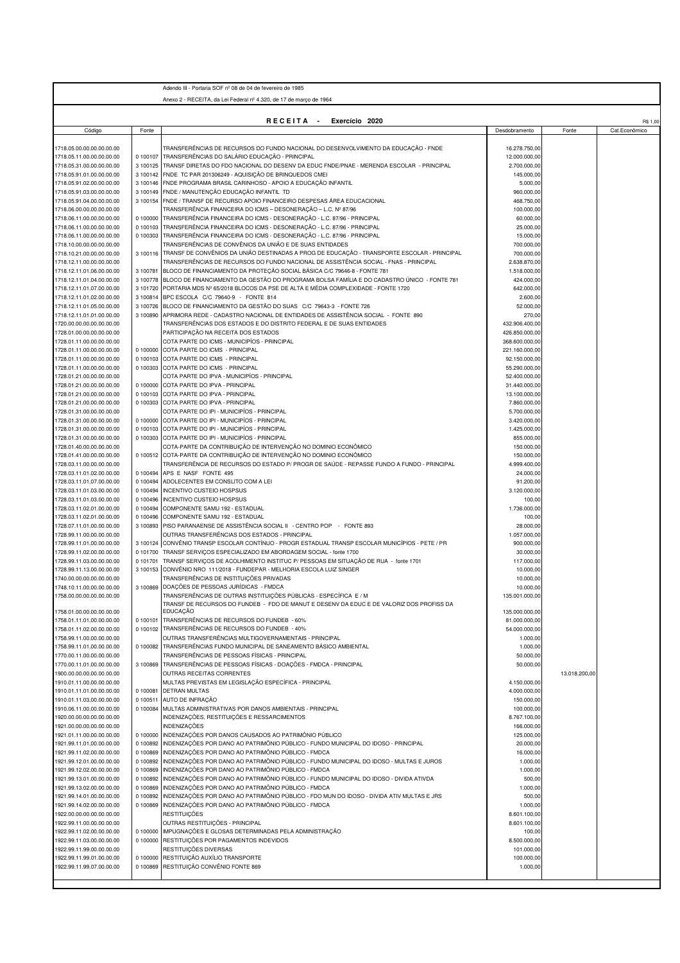|                                                        |                      | Adendo III - Portaria SOF nº 08 de 04 de fevereiro de 1985                                                                                                             |                                 |               |               |
|--------------------------------------------------------|----------------------|------------------------------------------------------------------------------------------------------------------------------------------------------------------------|---------------------------------|---------------|---------------|
|                                                        |                      | Anexo 2 - RECEITA, da Lei Federal nº 4.320, de 17 de março de 1964                                                                                                     |                                 |               |               |
|                                                        |                      |                                                                                                                                                                        |                                 |               |               |
|                                                        |                      | RECEITA -<br>Exercício 2020                                                                                                                                            |                                 |               | R\$ 1,00      |
| Código                                                 | Fonte                |                                                                                                                                                                        | Desdobramento                   | Fonte         | Cat.Econômico |
| 1718.05.00.00.00.00.00.00                              |                      | TRANSFERÊNCIAS DE RECURSOS DO FUNDO NACIONAL DO DESENVOLVIMENTO DA EDUCAÇÃO - FNDE                                                                                     | 16.278.750,00                   |               |               |
| 1718.05.11.00.00.00.00.00                              | 0 100107             | TRANSFERÊNCIAS DO SALÁRIO EDUCAÇÃO - PRINCIPAL                                                                                                                         | 12.000.000,00                   |               |               |
| 1718.05.31.00.00.00.00.00                              | 3 100125             | TRANSF DIRETAS DO FDO NACIONAL DO DESENV DA EDUC FNDE/PNAE - MERENDA ESCOLAR - PRINCIPAL                                                                               | 2.700.000,00                    |               |               |
| 1718.05.91.01.00.00.00.00                              |                      | 3 100142 FNDE TC PAR 201306249 - AQUISIÇÃO DE BRINQUEDOS CMEI                                                                                                          | 145.000,00                      |               |               |
| 1718.05.91.02.00.00.00.00                              | 3 100146             | FNDE PROGRAMA BRASIL CARINHOSO - APOIO A EDUCAÇÃO INFANTIL                                                                                                             | 5.000,00                        |               |               |
| 1718.05.91.03.00.00.00.00                              | 3 100149             | FNDE / MANUTENÇÃO EDUCAÇÃO INFANTIL TD                                                                                                                                 | 960.000,00                      |               |               |
| 1718.05.91.04.00.00.00.00                              | 3 100154             | FNDE / TRANSF DE RECURSO APOIO FINANCEIRO DESPESAS ÁREA EDUCACIONAL<br>TRANSFERÊNCIA FINANCEIRA DO ICMS – DESONERAÇÃO – L.C. № 87/96                                   | 468.750,00                      |               |               |
| 1718.06.00.00.00.00.00.00<br>1718.06.11.00.00.00.00.00 | 0 100000             | TRANSFERÊNCIA FINANCEIRA DO ICMS - DESONERAÇÃO - L.C. 87/96 - PRINCIPAL                                                                                                | 100.000,00<br>60.000,00         |               |               |
| 1718.06.11.00.00.00.00.00                              | 0 100103             | TRANSFERÊNCIA FINANCEIRA DO ICMS - DESONERAÇÃO - L.C. 87/96 - PRINCIPAL                                                                                                | 25.000,00                       |               |               |
| 1718.06.11.00.00.00.00.00                              | 0 100303             | TRANSFERÊNCIA FINANCEIRA DO ICMS - DESONERAÇÃO - L.C. 87/96 - PRINCIPAL                                                                                                | 15.000,00                       |               |               |
| 1718.10.00.00.00.00.00.00                              |                      | TRANSFERÊNCIAS DE CONVÊNIOS DA UNIÃO E DE SUAS ENTIDADES                                                                                                               | 700.000,00                      |               |               |
| 1718.10.21.00.00.00.00.00                              |                      | 3 100116 TRANSF DE CONVÊNIOS DA UNIÃO DESTINADAS A PROG DE EDUCAÇÃO - TRANSPORTE ESCOLAR - PRINCIPAL                                                                   | 700.000,00                      |               |               |
| 1718.12.11.00.00.00.00.00                              |                      | TRANSFERÊNCIAS DE RECURSOS DO FUNDO NACIONAL DE ASSISTÊNCIA SOCIAL - FNAS - PRINCIPAL                                                                                  | 2.638.870,00                    |               |               |
| 1718.12.11.01.06.00.00.00<br>1718.12.11.01.04.00.00.00 | 3 100781<br>3 100778 | BLOCO DE FINANCIAMENTO DA PROTEÇÃO SOCIAL BÁSICA C/C 79646-8 - FONTE 781<br>BLOCO DE FINANCIAMENTO DA GESTÃO DO PROGRAMA BOLSA FAMÍLIA E DO CADASTRO ÚNICO - FONTE 781 | 1.518.000,00<br>424.000,00      |               |               |
| 1718.12.11.01.07.00.00.00                              | 3 101720             | PORTARIA MDS Nº 65/2018 BLOCOS DA PSE DE ALTA E MÉDIA COMPLEXIDADE - FONTE 1720                                                                                        | 642.000,00                      |               |               |
| 1718.12.11.01.02.00.00.00                              |                      | 3 100814 BPC ESCOLA C/C 79640-9 - FONTE 814                                                                                                                            | 2.600,00                        |               |               |
| 1718.12.11.01.05.00.00.00                              | 3 100726             | BLOCO DE FINANCIAMENTO DA GESTÃO DO SUAS C/C 79643-3 - FONTE 726                                                                                                       | 52.000,00                       |               |               |
| 1718.12.11.01.01.00.00.00                              | 3 100890             | APRIMORA REDE - CADASTRO NACIONAL DE ENTIDADES DE ASSISTÊNCIA SOCIAL - FONTE 890                                                                                       | 270,00                          |               |               |
| 1720.00.00.00.00.00.00.00                              |                      | TRANSFERÊNCIAS DOS ESTADOS E DO DISTRITO FEDERAL E DE SUAS ENTIDADES                                                                                                   | 432.906.400,00                  |               |               |
| 1728.01.00.00.00.00.00.00                              |                      | PARTICIPAÇÃO NA RECEITA DOS ESTADOS                                                                                                                                    | 426.850.000,00                  |               |               |
| 1728.01.11.00.00.00.00.00                              |                      | COTA PARTE DO ICMS - MUNICIPÍOS - PRINCIPAL                                                                                                                            | 368.600.000,00                  |               |               |
| 1728.01.11.00.00.00.00.00<br>1728.01.11.00.00.00.00.00 | 0 100000             | COTA PARTE DO ICMS - PRINCIPAL<br>0 100103 COTA PARTE DO ICMS - PRINCIPAL                                                                                              | 221.160.000,00<br>92.150.000,00 |               |               |
| 1728.01.11.00.00.00.00.00                              | 0 100303             | COTA PARTE DO ICMS - PRINCIPAL                                                                                                                                         | 55.290.000,00                   |               |               |
| 1728.01.21.00.00.00.00.00                              |                      | COTA PARTE DO IPVA - MUNICIPÍOS - PRINCIPAL                                                                                                                            | 52.400.000,00                   |               |               |
| 1728.01.21.00.00.00.00.00                              | 0 100000             | COTA PARTE DO IPVA - PRINCIPAL                                                                                                                                         | 31.440.000,00                   |               |               |
| 1728.01.21.00.00.00.00.00                              |                      | 0 100103 COTA PARTE DO IPVA - PRINCIPAL                                                                                                                                | 13.100.000,00                   |               |               |
| 1728.01.21.00.00.00.00.00                              |                      | 0 100303 COTA PARTE DO IPVA - PRINCIPAL                                                                                                                                | 7.860.000,00                    |               |               |
| 1728.01.31.00.00.00.00.00                              |                      | COTA PARTE DO IPI - MUNICIPIOS - PRINCIPAL                                                                                                                             | 5.700.000,00                    |               |               |
| 1728.01.31.00.00.00.00.00                              | 0 100000             | COTA PARTE DO IPI - MUNICIPÍOS - PRINCIPAL                                                                                                                             | 3.420.000,00                    |               |               |
| 1728.01.31.00.00.00.00.00                              |                      | 0 100103 COTA PARTE DO IPI - MUNICIPÍOS - PRINCIPAL                                                                                                                    | 1.425.000,00                    |               |               |
| 1728.01.31.00.00.00.00.00<br>1728.01.40.00.00.00.00.00 |                      | 0 100303 COTA PARTE DO IPI - MUNICIPÍOS - PRINCIPAL<br>COTA-PARTE DA CONTRIBUIÇÃO DE INTERVENÇÃO NO DOMINIO ECONÔMICO                                                  | 855.000,00<br>150.000,00        |               |               |
| 1728.01.41.00.00.00.00.00                              |                      | 0 100512 COTA-PARTE DA CONTRIBUIÇÃO DE INTERVENÇÃO NO DOMINIO ECONÔMICO                                                                                                | 150.000,00                      |               |               |
| 1728.03.11.00.00.00.00.00                              |                      | TRANSFERÊNCIA DE RECURSOS DO ESTADO P/ PROGR DE SAÚDE - REPASSE FUNDO A FUNDO - PRINCIPAL                                                                              | 4.999.400,00                    |               |               |
| 1728.03.11.01.02.00.00.00                              | 0 100494             | APS E NASF FONTE 495                                                                                                                                                   | 24.000,00                       |               |               |
| 1728.03.11.01.07.00.00.00                              | 0 100494             | ADOLECENTES EM CONSLITO COM A LEI                                                                                                                                      | 91.200,00                       |               |               |
| 1728.03.11.01.03.00.00.00                              | 0 100494             | INCENTIVO CUSTEIO HOSPSUS                                                                                                                                              | 3.120.000,00                    |               |               |
| 1728.03.11.01.03.00.00.00                              | 0 100496             | <b>INCENTIVO CUSTEIO HOSPSUS</b>                                                                                                                                       | 100,00                          |               |               |
| 1728.03.11.02.01.00.00.00                              | 0 100494             | COMPONENTE SAMU 192 - ESTADUAL                                                                                                                                         | 1.736.000,00                    |               |               |
| 1728.03.11.02.01.00.00.00<br>1728.07.11.01.00.00.00.00 | 0 100496             | COMPONENTE SAMU 192 - ESTADUAL<br>3 100893 PISO PARANAENSE DE ASSISTÊNCIA SOCIAL II - CENTRO POP - FONTE 893                                                           | 100,00<br>28.000,00             |               |               |
| 1728.99.11.00.00.00.00.00                              |                      | OUTRAS TRANSFERÊNCIAS DOS ESTADOS - PRINCIPAL                                                                                                                          | 1.057.000,00                    |               |               |
| 1728.99.11.01.00.00.00.00                              |                      | 3 100124 CONVÊNIO TRANSP ESCOLAR CONTÍNUO - PROGR ESTADUAL TRANSP ESCOLAR MUNICÍPIOS - PETE / PR                                                                       | 900.000,00                      |               |               |
| 1728.99.11.02.00.00.00.00                              |                      | 0 101700 TRANSF SERVICOS ESPECIALIZADO EM ABORDAGEM SOCIAL - fonte 1700                                                                                                | 30.000,00                       |               |               |
| 1728.99.11.03.00.00.00.00                              |                      | 0 101701 TRANSF SERVICOS DE ACOLHIMENTO INSTITUC P/ PESSOAS EM SITUAÇÃO DE RUA - fonte 1701                                                                            | 117.000,00                      |               |               |
| 1728.99.11.13.00.00.00.00                              |                      | 3 100153 CONVÊNIO NRO 111/2018 - FUNDEPAR - MELHORIA ESCOLA LUIZ SINGER                                                                                                | 10.000,00                       |               |               |
| 1740.00.00.00.00.00.00.00                              |                      | TRANSFERÊNCIAS DE INSTITUIÇÕES PRIVADAS                                                                                                                                | 10.000,00                       |               |               |
| 1748.10.11.00.00.00.00.00                              |                      | 3 100869 DOAÇÕES DE PESSOAS JURÍDICAS - FMDCA                                                                                                                          | 10.000,00                       |               |               |
| 1758.00.00.00.00.00.00.00                              |                      | TRANSFERENCIAS DE OUTRAS INSTITUIÇOES PUBLICAS - ESPECIFICA E / M<br>TRANSF DE RECURSOS DO FUNDEB - FDO DE MANUT E DESENV DA EDUC E DE VALORIZ DOS PROFISS DA          | 135.001.000,00                  |               |               |
| 1758.01.00.00.00.00.00.00                              |                      | <b>EDUCAÇÃO</b>                                                                                                                                                        | 135.000.000,00                  |               |               |
| 1758.01.11.01.00.00.00.00                              | 0 100101             | TRANSFERÊNCIAS DE RECURSOS DO FUNDEB - 60%                                                                                                                             | 81.000.000,00                   |               |               |
| 1758.01.11.02.00.00.00.00                              | 0 100102             | TRANSFERÊNCIAS DE RECURSOS DO FUNDEB - 40%                                                                                                                             | 54.000.000,00                   |               |               |
| 1758.99.11.00.00.00.00.00                              |                      | OUTRAS TRANSFERÊNCIAS MULTIGOVERNAMENTAIS - PRINCIPAL                                                                                                                  | 1.000,00                        |               |               |
| 1758.99.11.01.00.00.00.00                              |                      | 0 100082 TRANSFERÊNCIAS FUNDO MUNICIPAL DE SANEAMENTO BÁSICO AMBIENTAL                                                                                                 | 1.000,00                        |               |               |
| 1770.00.11.00.00.00.00.00                              |                      | TRANSFERÊNCIAS DE PESSOAS FÍSICAS - PRINCIPAL                                                                                                                          | 50.000,00                       |               |               |
| 1770.00.11.01.00.00.00.00<br>1900.00.00.00.00.00.00.00 | 3 100869             | TRANSFERÊNCIAS DE PESSOAS FÍSICAS - DOAÇÕES - FMDCA - PRINCIPAL<br>OUTRAS RECEITAS CORRENTES                                                                           | 50.000,00                       | 13.018.200,00 |               |
| 1910.01.11.00.00.00.00.00                              |                      | MULTAS PREVISTAS EM LEGISLAÇÃO ESPECÍFICA - PRINCIPAL                                                                                                                  | 4.150.000,00                    |               |               |
| 1910.01.11.01.00.00.00.00                              | 0 100081             | <b>DETRAN MULTAS</b>                                                                                                                                                   | 4.000.000,00                    |               |               |
| 1910.01.11.03.00.00.00.00                              | 0 100511             | AUTO DE INFRAÇÃO                                                                                                                                                       | 150.000,00                      |               |               |
| 1910.06.11.00.00.00.00.00                              | 0 100084             | MULTAS ADMINISTRATIVAS POR DANOS AMBIENTAIS - PRINCIPAL                                                                                                                | 100.000,00                      |               |               |
| 920.00.00.00.00.00.00.00                               |                      | INDENIZAÇÕES, RESTITUIÇÕES E RESSARCIMENTOS                                                                                                                            | 8.767.100,00                    |               |               |
| 1921.00.00.00.00.00.00.00                              |                      | INDENIZAÇÕES                                                                                                                                                           | 166.000,00                      |               |               |
| 1921.01.11.00.00.00.00.00                              | 0 100000             | INDENIZAÇÕES POR DANOS CAUSADOS AO PATRIMÔNIO PÚBLICO                                                                                                                  | 125.000,00                      |               |               |
| 1921.99.11.01.00.00.00.00                              | 0 100892<br>0 100869 | INDENIZAÇÕES POR DANO AO PATRIMÔNIO PÚBLICO - FUNDO MUNICIPAL DO IDOSO - PRINCIPAL<br>INDENIZAÇÕES POR DANO AO PATRIMÔNIO PÚBLICO - FMDCA                              | 20.000,00<br>16.000,00          |               |               |
| 1921.99.11.02.00.00.00.00<br>1921.99.12.01.00.00.00.00 | 0 100892             | INDENIZAÇÕES POR DANO AO PATRIMÔNIO PÚBLICO - FUNDO MUNICIPAL DO IDOSO - MULTAS E JUROS                                                                                | 1.000,00                        |               |               |
| 1921.99.12.02.00.00.00.00                              | 0 100869             | INDENIZAÇÕES POR DANO AO PATRIMÔNIO PÚBLICO - FMDCA                                                                                                                    | 1.000,00                        |               |               |
| 1921.99.13.01.00.00.00.00                              | 0 100892             | INDENIZAÇÕES POR DANO AO PATRIMÔNIO PÚBLICO - FUNDO MUNICIPAL DO IDOSO - DIVIDA ATIVDA                                                                                 | 500,00                          |               |               |
| 1921.99.13.02.00.00.00.00                              | 0 100869             | INDENIZAÇÕES POR DANO AO PATRIMÔNIO PÚBLICO - FMDCA                                                                                                                    | 1.000,00                        |               |               |
| 1921.99.14.01.00.00.00.00                              | 0 100892             | INDENIZAÇÕES POR DANO AO PATRIMÔNIO PÚBLICO - FDO MUN DO IDOSO - DIVIDA ATIV MULTAS E JRS                                                                              | 500,00                          |               |               |
| 1921.99.14.02.00.00.00.00                              | 0 100869             | INDENIZAÇÕES POR DANO AO PATRIMÔNIO PÚBLICO - FMDCA                                                                                                                    | 1.000,00                        |               |               |
| 1922.00.00.00.00.00.00.00                              |                      | <b>RESTITUIÇÕES</b>                                                                                                                                                    | 8.601.100,00                    |               |               |
| 1922.99.11.00.00.00.00.00                              |                      | OUTRAS RESTITUIÇÕES - PRINCIPAL                                                                                                                                        | 8.601.100,00                    |               |               |
| 922.99.11.02.00.00.00.00<br>922.99.11.03.00.00.00.00   | 0 100000<br>0 100000 | IMPUGNAÇÕES E GLOSAS DETERMINADAS PELA ADMINISTRAÇÃO<br>RESTITUIÇÕES POR PAGAMENTOS INDEVIDOS                                                                          | 100,00<br>8.500.000,00          |               |               |
| 922.99.11.99.00.00.00.00                               |                      | RESTITUIÇÕES DIVERSAS                                                                                                                                                  | 101.000,00                      |               |               |
| 922.99.11.99.01.00.00.00                               | 0 100000             | RESTITUIÇÃO AUXÍLIO TRANSPORTE                                                                                                                                         | 100.000,00                      |               |               |
| 1922.99.11.99.07.00.00.00                              | 0 100869             | RESTITUIÇÃO CONVÊNIO FONTE 869                                                                                                                                         | 1.000,00                        |               |               |
|                                                        |                      |                                                                                                                                                                        |                                 |               |               |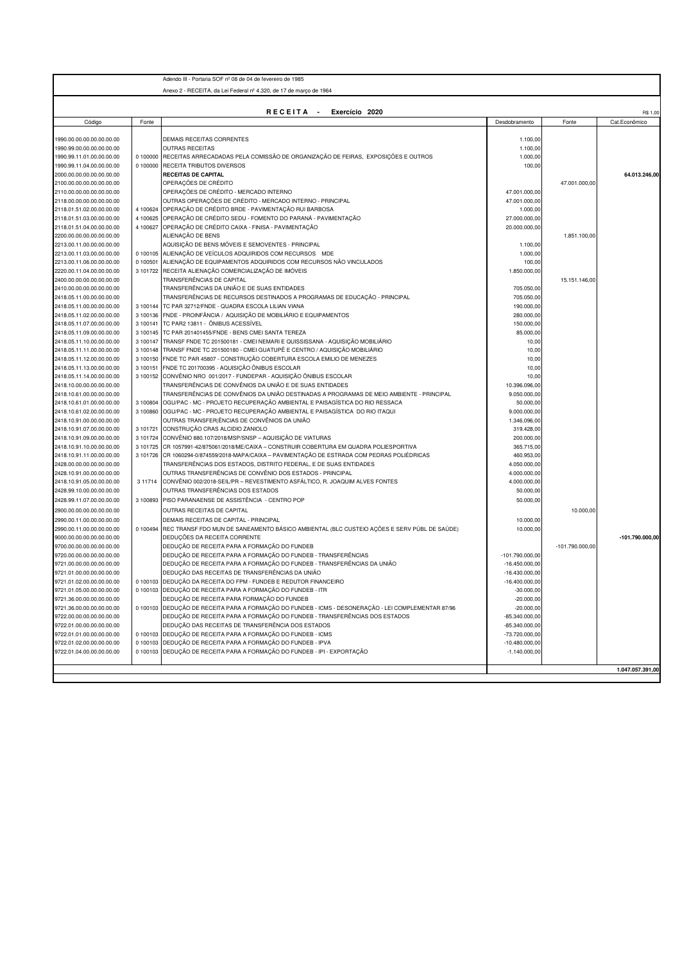|                                                        |          | Adendo III - Portaria SOF nº 08 de 04 de fevereiro de 1985                                                |                              |                   |                  |
|--------------------------------------------------------|----------|-----------------------------------------------------------------------------------------------------------|------------------------------|-------------------|------------------|
|                                                        |          | Anexo 2 - RECEITA, da Lei Federal nº 4.320, de 17 de marco de 1964                                        |                              |                   |                  |
|                                                        |          |                                                                                                           |                              |                   |                  |
|                                                        |          | RECEITA -<br>Exercício 2020                                                                               |                              |                   | R\$ 1,00         |
| Código                                                 | Fonte    |                                                                                                           | Desdobramento                | Fonte             | Cat.Econômico    |
|                                                        |          |                                                                                                           |                              |                   |                  |
| 1990.00.00.00.00.00.00.00<br>1990.99.00.00.00.00.00.00 |          | DEMAIS RECEITAS CORRENTES<br><b>OUTRAS RECEITAS</b>                                                       | 1.100,00<br>1.100,00         |                   |                  |
| 1990.99.11.01.00.00.00.00                              |          | 0 100000 RECEITAS ARRECADADAS PELA COMISSÃO DE ORGANIZAÇÃO DE FEIRAS, EXPOSIÇÕES E OUTROS                 | 1.000,00                     |                   |                  |
| 1990.99.11.04.00.00.00.00                              | 0 100000 | RECEITA TRIBUTOS DIVERSOS                                                                                 | 100,00                       |                   |                  |
| 2000.00.00.00.00.00.00.00                              |          | RECEITAS DE CAPITAL                                                                                       |                              |                   | 64.013.246,00    |
| 2100.00.00.00.00.00.00.00                              |          | OPERAÇÕES DE CRÉDITO                                                                                      |                              | 47.001.000.00     |                  |
| 2110.00.00.00.00.00.00.00                              |          | OPERAÇÕES DE CRÉDITO - MERCADO INTERNO                                                                    | 47.001.000,00                |                   |                  |
| 2118.00.00.00.00.00.00.00                              |          | OUTRAS OPERAÇÕES DE CRÉDITO - MERCADO INTERNO - PRINCIPAL                                                 | 47.001.000,00                |                   |                  |
| 2118.01.51.02.00.00.00.00                              | 4 100624 | OPERAÇÃO DE CRÉDITO BRDE - PAVIMENTAÇÃO RUI BARBOSA                                                       | 1.000,00                     |                   |                  |
| 2118.01.51.03.00.00.00.00                              |          | 4 100625 OPERAÇÃO DE CRÉDITO SEDU - FOMENTO DO PARANÁ - PAVIMENTAÇÃO                                      | 27.000.000,00                |                   |                  |
| 2118.01.51.04.00.00.00.00                              |          | 4 100627 OPERAÇÃO DE CRÉDITO CAIXA - FINISA - PAVIMENTAÇÃO                                                | 20.000.000,00                |                   |                  |
| 2200.00.00.00.00.00.00.00                              |          | ALIENAÇÃO DE BENS                                                                                         |                              | 1.851.100,00      |                  |
| 2213.00.11.00.00.00.00.00                              |          | AQUISIÇÃO DE BENS MÓVEIS E SEMOVENTES - PRINCIPAL                                                         | 1.100,00                     |                   |                  |
| 2213.00.11.03.00.00.00.00                              |          | 0 100105 ALIENAÇÃO DE VEÍCULOS ADQUIRIDOS COM RECURSOS MDE                                                | 1.000,00                     |                   |                  |
| 2213.00.11.06.00.00.00.00                              | 0 100501 | ALIENAÇÃO DE EQUIPAMENTOS ADQUIRIDOS COM RECURSOS NÃO VINCULADOS                                          | 100,00                       |                   |                  |
| 2220.00.11.04.00.00.00.00                              |          | 3 101722 RECEITA ALIENAÇÃO COMERCIALIZAÇÃO DE IMÓVEIS<br>TRANSFERÊNCIAS DE CAPITAL                        | 1.850.000,00                 |                   |                  |
| 2400.00.00.00.00.00.00.00<br>2410.00.00.00.00.00.00.00 |          | TRANSFERÊNCIAS DA UNIÃO E DE SUAS ENTIDADES                                                               | 705.050,00                   | 15.151.146,00     |                  |
| 2418.05.11.00.00.00.00.00                              |          | TRANSFERÊNCIAS DE RECURSOS DESTINADOS A PROGRAMAS DE EDUCAÇÃO - PRINCIPAL                                 | 705.050,00                   |                   |                  |
| 2418.05.11.00.00.00.00.00                              |          | 3 100144 TC PAR 32712/FNDE - QUADRA ESCOLA LILIAN VIANA                                                   | 190.000,00                   |                   |                  |
| 2418.05.11.02.00.00.00.00                              |          | 3 100136 FNDE - PROINFÂNCIA / AQUISIÇÃO DE MOBILIÁRIO E EQUIPAMENTOS                                      | 280.000,00                   |                   |                  |
| 2418.05.11.07.00.00.00.00                              | 3 100141 | TC PAR2 13811 - ÔNIBUS ACESSÍVEL                                                                          | 150.000,00                   |                   |                  |
| 2418.05.11.09.00.00.00.00                              | 3 100145 | TC PAR 201401455/FNDE - BENS CMEI SANTA TEREZA                                                            | 85.000,00                    |                   |                  |
| 2418.05.11.10.00.00.00.00                              | 3 100147 | TRANSF FNDE TC 201500181 - CMEI NEMARI E QUISSISSANA - AQUISIÇÃO MOBILIÁRIO                               | 10,00                        |                   |                  |
| 2418.05.11.11.00.00.00.00                              | 3 100148 | TRANSF FNDE TC 201500180 - CMEI GUATUPÊ E CENTRO / AQUISIÇÃO MOBILIÁRIO                                   | 10,00                        |                   |                  |
| 2418.05.11.12.00.00.00.00                              | 3 100150 | FNDE TC PAR 45807 - CONSTRUÇÃO COBERTURA ESCOLA EMILIO DE MENEZES                                         | 10,00                        |                   |                  |
| 2418.05.11.13.00.00.00.00                              | 3 100151 | FNDE TC 201700395 - AQUISIÇÃO ÔNIBUS ESCOLAR                                                              | 10,00                        |                   |                  |
| 2418.05.11.14.00.00.00.00                              | 3 100152 | CONVÊNIO NRO 001/2017 - FUNDEPAR - AQUISIÇÃO ÔNIBUS ESCOLAR                                               | 10,00                        |                   |                  |
| 2418.10.00.00.00.00.00.00                              |          | TRANSFERÊNCIAS DE CONVÊNIOS DA UNIÃO E DE SUAS ENTIDADES                                                  | 10.396.096,00                |                   |                  |
| 2418.10.61.00.00.00.00.00                              |          | TRANSFERÊNCIAS DE CONVÊNIOS DA UNIÃO DESTINADAS A PROGRAMAS DE MEIO AMBIENTE - PRINCIPAL                  | 9.050.000,00                 |                   |                  |
| 2418.10.61.01.00.00.00.00                              |          | 3 100804 OGU/PAC - MC - PROJETO RECUPERAÇÃO AMBIENTAL E PAISAGÍSTICA DO RIO RESSACA                       | 50.000,00                    |                   |                  |
| 2418.10.61.02.00.00.00.00                              | 3 100860 | OGU/PAC - MC - PROJETO RECUPERAÇÃO AMBIENTAL E PAISAGÍSTICA DO RIO ITAQUI                                 | 9.000.000,00                 |                   |                  |
| 2418.10.91.00.00.00.00.00                              |          | OUTRAS TRANSFER ÊNCIAS DE CONVÊNIOS DA UNIÃO                                                              | 1.346.096,00                 |                   |                  |
| 2418.10.91.07.00.00.00.00<br>2418.10.91.09.00.00.00.00 | 3 101724 | 3 101721 CONSTRUÇÃO CRAS ALCIDIO ZANIOLO<br>CONVÊNIO 880.107/2018/MSP/SNSP - AQUISIÇÃO DE VIATURAS        | 319.428,00<br>200.000,00     |                   |                  |
| 2418.10.91.10.00.00.00.00                              | 3 101725 | CR 1057991-42/875061/2018/ME/CAIXA - CONSTRUIR COBERTURA EM QUADRA POLIESPORTIVA                          | 365.715,00                   |                   |                  |
| 2418.10.91.11.00.00.00.00                              | 3 101726 | CR 1060294-0/874559/2018-MAPA/CAIXA - PAVIMENTAÇÃO DE ESTRADA COM PEDRAS POLIÉDRICAS                      | 460.953,00                   |                   |                  |
| 2428.00.00.00.00.00.00.00                              |          | TRANSFERÊNCIAS DOS ESTADOS, DISTRITO FEDERAL, E DE SUAS ENTIDADES                                         | 4.050.000,00                 |                   |                  |
| 2428.10.91.00.00.00.00.00                              |          | OUTRAS TRANSFERÊNCIAS DE CONVÊNIO DOS ESTADOS - PRINCIPAL                                                 | 4.000.000,00                 |                   |                  |
| 2418.10.91.05.00.00.00.00                              | 3 11714  | CONVÊNIO 002/2018-SEIL/PR - REVESTIMENTO ASFÁLTICO, R. JOAQUIM ALVES FONTES                               | 4.000.000,00                 |                   |                  |
| 2428.99.10.00.00.00.00.00                              |          | OUTRAS TRANSFERÊNCIAS DOS ESTADOS                                                                         | 50.000,00                    |                   |                  |
| 2428.99.11.07.00.00.00.00                              |          | 3 100893 PISO PARANAENSE DE ASSISTÊNCIA - CENTRO POP                                                      | 50.000,00                    |                   |                  |
| 2900.00.00.00.00.00.00.00                              |          | OUTRAS RECEITAS DE CAPITAL                                                                                |                              | 10.000,00         |                  |
| 2990.00.11.00.00.00.00.00                              |          | DEMAIS RECEITAS DE CAPITAL - PRINCIPAL                                                                    | 10.000,00                    |                   |                  |
| 2990.00.11.00.00.00.00.00                              |          | 0 100494 REC TRANSF FDO MUN DE SANEAMENTO BÁSICO AMBIENTAL (BLC CUSTEIO AÇÕES E SERV PÚBL DE SAÚDE)       | 10.000,00                    |                   |                  |
| 9000.00.00.00.00.00.00.00                              |          | DEDUÇÕES DA RECEITA CORRENTE                                                                              |                              |                   | -101.790.000,00  |
| 9700.00.00.00.00.00.00.00                              |          | DEDUÇÃO DE RECEITA PARA A FORMAÇÃO DO FUNDEB                                                              |                              | $-101.790.000,00$ |                  |
| 9720.00.00.00.00.00.00.00                              |          | DEDUÇÃO DE RECEITA PARA A FORMAÇÃO DO FUNDEB - TRANSFERÊNCIAS                                             | -101.790.000,00              |                   |                  |
| 9721.00.00.00.00.00.00.00                              |          | DEDUÇÃO DE RECEITA PARA A FORMAÇÃO DO FUNDEB - TRANSFERÊNCIAS DA UNIÃO                                    | $-16.450.000,00$             |                   |                  |
| 9721.01.00.00.00.00.00.00                              |          | DEDUCÃO DAS RECEITAS DE TRANSFERÊNCIAS DA UNIÃO                                                           | $-16.430.000,00$             |                   |                  |
| 9721.01.02.00.00.00.00.00                              |          | 0 100103 DEDUÇÃO DA RECEITA DO FPM - FUNDEB E REDUTOR FINANCEIRO                                          | $-16.400.000.00$             |                   |                  |
| 9721.01.05.00.00.00.00.00<br>9721.36.00.00.00.00.00.00 |          | 0 100103 DEDUÇÃO DE RECEITA PARA A FORMAÇÃO DO FUNDEB - ITR<br>DEDUÇÃO DE RECEITA PARA FORMAÇÃO DO FUNDEB | $-30.000,00$                 |                   |                  |
| 9721.36.00.00.00.00.00.00                              |          | 0 100103 DEDUÇÃO DE RECEITA PARA A FORMAÇÃO DO FUNDEB - ICMS - DESONERAÇÃO - LEI COMPLEMENTAR 87/96       | $-20.000,00$<br>$-20.000,00$ |                   |                  |
| 9722.00.00.00.00.00.00.00                              |          | DEDUCÃO DE RECEITA PARA A FORMAÇÃO DO FUNDEB - TRANSFERÊNCIAS DOS ESTADOS                                 | $-85.340.000,00$             |                   |                  |
| 9722.01.00.00.00.00.00.00                              |          | DEDUÇÃO DAS RECEITAS DE TRANSFERÊNCIA DOS ESTADOS                                                         | $-85.340.000,00$             |                   |                  |
| 9722.01.01.00.00.00.00.00                              |          | 0 100103 DEDUÇÃO DE RECEITA PARA A FORMAÇÃO DO FUNDEB - ICMS                                              | $-73.720.000,00$             |                   |                  |
| 9722.01.02.00.00.00.00.00                              |          | 0 100103 DEDUÇÃO DE RECEITA PARA A FORMAÇÃO DO FUNDEB - IPVA                                              | $-10.480.000,00$             |                   |                  |
| 9722.01.04.00.00.00.00.00                              |          | 0 100103 DEDUÇÃO DE RECEITA PARA A FORMAÇÃO DO FUNDEB - IPI - EXPORTAÇÃO                                  | $-1.140.000,00$              |                   |                  |
|                                                        |          |                                                                                                           |                              |                   |                  |
|                                                        |          |                                                                                                           |                              |                   | 1.047.057.391,00 |
|                                                        |          |                                                                                                           |                              |                   |                  |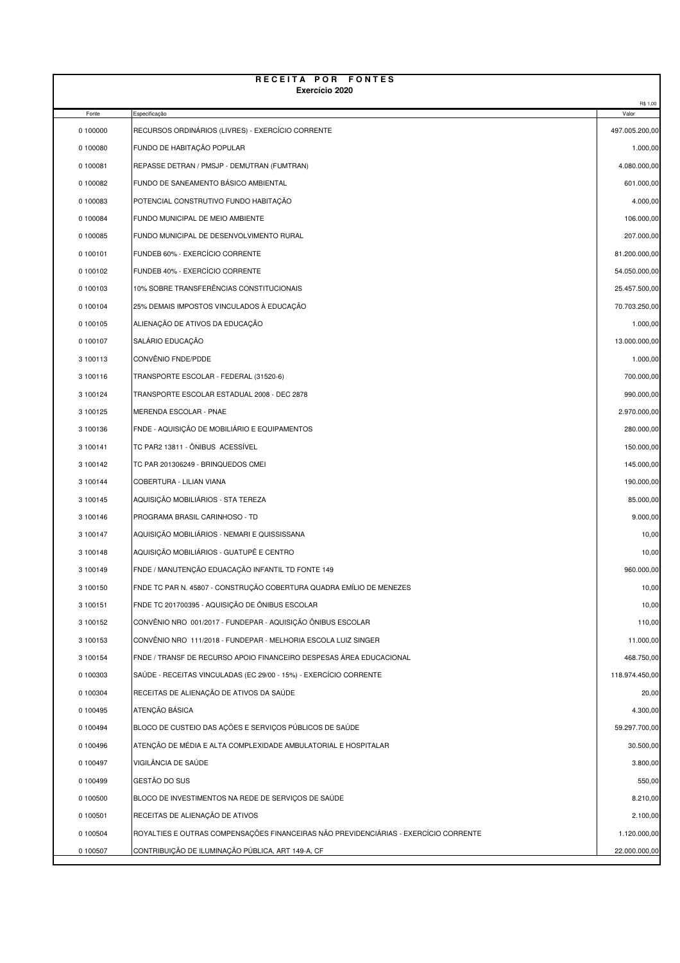| RECEITA POR FONTES<br>Exercício 2020 |                                                                      |                         |  |  |
|--------------------------------------|----------------------------------------------------------------------|-------------------------|--|--|
|                                      |                                                                      | R\$ 1,00                |  |  |
| Fonte<br>0 100000                    | Especificação<br>RECURSOS ORDINÁRIOS (LIVRES) - EXERCÍCIO CORRENTE   | Valor<br>497.005.200,00 |  |  |
| 0 100080                             | FUNDO DE HABITAÇÃO POPULAR                                           | 1.000,00                |  |  |
| 0 100081                             | REPASSE DETRAN / PMSJP - DEMUTRAN (FUMTRAN)                          | 4.080.000,00            |  |  |
| 0 100082                             | FUNDO DE SANEAMENTO BÁSICO AMBIENTAL                                 | 601.000,00              |  |  |
| 0 100083                             | POTENCIAL CONSTRUTIVO FUNDO HABITAÇÃO                                | 4.000,00                |  |  |
| 0 100084                             | FUNDO MUNICIPAL DE MEIO AMBIENTE                                     | 106.000,00              |  |  |
| 0 100085                             | FUNDO MUNICIPAL DE DESENVOLVIMENTO RURAL                             | 207.000,00              |  |  |
| 0 100101                             | FUNDEB 60% - EXERCÍCIO CORRENTE                                      | 81.200.000,00           |  |  |
| 0 100102                             | FUNDEB 40% - EXERCÍCIO CORRENTE                                      | 54.050.000,00           |  |  |
| 0 100103                             | 10% SOBRE TRANSFERÊNCIAS CONSTITUCIONAIS                             | 25.457.500,00           |  |  |
| 0 100104                             | 25% DEMAIS IMPOSTOS VINCULADOS À EDUCAÇÃO                            | 70.703.250,00           |  |  |
| 0 100105                             | ALIENAÇÃO DE ATIVOS DA EDUCAÇÃO                                      | 1.000,00                |  |  |
| 0 100107                             | SALÁRIO EDUCAÇÃO                                                     | 13.000.000,00           |  |  |
| 3 100113                             | CONVÊNIO FNDE/PDDE                                                   | 1.000,00                |  |  |
| 3 100116                             | TRANSPORTE ESCOLAR - FEDERAL (31520-6)                               | 700.000,00              |  |  |
| 3 100124                             | TRANSPORTE ESCOLAR ESTADUAL 2008 - DEC 2878                          | 990.000,00              |  |  |
| 3 100125                             | MERENDA ESCOLAR - PNAE                                               | 2.970.000,00            |  |  |
| 3 100136                             | FNDE - AQUISIÇÃO DE MOBILIÁRIO E EQUIPAMENTOS                        | 280.000,00              |  |  |
| 3 100141                             | TC PAR2 13811 - ÔNIBUS ACESSÍVEL                                     | 150.000,00              |  |  |
| 3 100142                             | TC PAR 201306249 - BRINQUEDOS CMEI                                   | 145.000,00              |  |  |
| 3 100144                             | COBERTURA - LILIAN VIANA                                             | 190.000,00              |  |  |
| 3 100145                             | AQUISIÇÃO MOBILIÁRIOS - STA TEREZA                                   | 85.000,00               |  |  |
| 3 100146                             | PROGRAMA BRASIL CARINHOSO - TD                                       | 9.000,00                |  |  |
| 3 100147                             | AQUISIÇÃO MOBILIÁRIOS - NEMARI E QUISSISSANA                         | 10,00                   |  |  |
| 3 100148                             | AQUISICÃO MOBILIÁRIOS - GUATUPÊ E CENTRO                             | 10,00                   |  |  |
| 3 100149                             | FNDE / MANUTENÇÃO EDUACAÇÃO INFANTIL TD FONTE 149                    | 960.000,00              |  |  |
| 3 100150                             | FNDE TC PAR N. 45807 - CONSTRUÇÃO COBERTURA QUADRA EMÍLIO DE MENEZES | 10,00                   |  |  |
| 3 100151                             | FNDE TC 201700395 - AQUISICÃO DE ÔNIBUS ESCOLAR                      | 10,00                   |  |  |
| 3 100152                             | CONVÊNIO NRO 001/2017 - FUNDEPAR - AQUISIÇÃO ÔNIBUS ESCOLAR          | 110,00                  |  |  |
| 3 100153                             | CONVÊNIO NRO 111/2018 - FUNDEPAR - MELHORIA ESCOLA LUIZ SINGER       | 11.000,00               |  |  |
| 3 100154                             | FNDE / TRANSF DE RECURSO APOIO FINANCEIRO DESPESAS ÁREA EDUCACIONAL  | 468.750,00              |  |  |
| 0 100303                             | SAÚDE - RECEITAS VINCULADAS (EC 29/00 - 15%) - EXERCÍCIO CORRENTE    | 118.974.450,00          |  |  |
| 0 100304                             | RECEITAS DE ALIENAÇÃO DE ATIVOS DA SAÚDE                             | 20,00                   |  |  |
| 0 100495                             | ATENÇÃO BÁSICA                                                       | 4.300,00                |  |  |
| 0 100494                             | BLOCO DE CUSTEIO DAS AÇÕES E SERVIÇOS PÚBLICOS DE SAÚDE              | 59.297.700,00           |  |  |
| 0 100496                             | ATENÇÃO DE MÉDIA E ALTA COMPLEXIDADE AMBULATORIAL E HOSPITALAR       | 30.500,00               |  |  |
| 0 100497                             | VIGILÂNCIA DE SAÚDE                                                  | 3.800,00                |  |  |
| 0 100499                             | GESTÃO DO SUS                                                        | 550,00                  |  |  |
| 0 100500                             | BLOCO DE INVESTIMENTOS NA REDE DE SERVIÇOS DE SAÚDE                  | 8.210,00                |  |  |
| 0 100501                             | RECEITAS DE ALIENAÇÃO DE ATIVOS                                      | 2.100,00                |  |  |

0 100504 ROYALTIES E OUTRAS COMPENSAÇÕES FINANCEIRAS NÃO PREVIDENCIÁRIAS - EXERCÍCIO CORRENTE  $1.120.000,00$ 0 100507 CONTRIBUIÇÃO DE ILUMINAÇÃO PÚBLICA, ART 149-A, CF 22.000.000,000 22.000.000,00